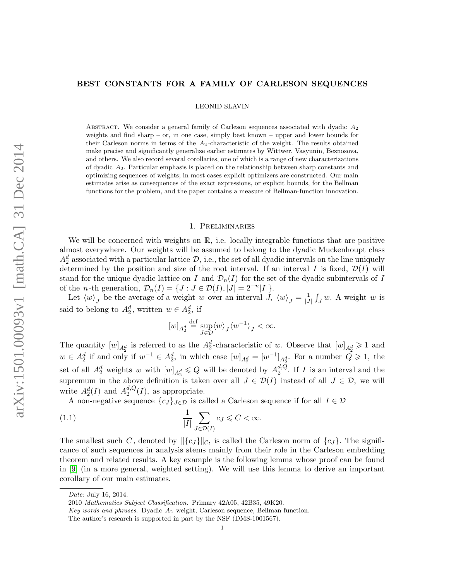# BEST CONSTANTS FOR A FAMILY OF CARLESON SEQUENCES

LEONID SLAVIN

ABSTRACT. We consider a general family of Carleson sequences associated with dyadic  $A_2$ weights and find sharp – or, in one case, simply best known – upper and lower bounds for their Carleson norms in terms of the  $A_2$ -characteristic of the weight. The results obtained make precise and significantly generalize earlier estimates by Wittwer, Vasyunin, Beznosova, and others. We also record several corollaries, one of which is a range of new characterizations of dyadic A2. Particular emphasis is placed on the relationship between sharp constants and optimizing sequences of weights; in most cases explicit optimizers are constructed. Our main estimates arise as consequences of the exact expressions, or explicit bounds, for the Bellman functions for the problem, and the paper contains a measure of Bellman-function innovation.

### 1. Preliminaries

We will be concerned with weights on  $\mathbb{R}$ , i.e. locally integrable functions that are positive almost everywhere. Our weights will be assumed to belong to the dyadic Muckenhoupt class  $A_2^d$  associated with a particular lattice  $D$ , i.e., the set of all dyadic intervals on the line uniquely determined by the position and size of the root interval. If an interval I is fixed,  $\mathcal{D}(I)$  will stand for the unique dyadic lattice on I and  $\mathcal{D}_n(I)$  for the set of the dyadic subintervals of I of the *n*-th generation,  $\mathcal{D}_n(I) = \{J : J \in \mathcal{D}(I), |J| = 2^{-n}|I|\}.$ 

Let  $\langle w \rangle_j$  be the average of a weight w over an interval J,  $\langle w \rangle_j = \frac{1}{|J|}$  $\frac{1}{|J|} \int_J w$ . A weight w is said to belong to  $A_2^d$ , written  $w \in A_2^d$ , if

<span id="page-0-0"></span>
$$
[w]_{A_2^d}\stackrel{\text{def}}{=}\sup_{J\in\mathcal{D}}\langle w\rangle_J\langle w^{-1}\rangle_J<\infty.
$$

The quantity  $[w]_{A_2^d}$  is referred to as the  $A_2^d$ -characteristic of w. Observe that  $[w]_{A_2^d} \geq 1$  and  $w \in A_2^d$  if and only if  $w^{-1} \in A_2^d$ , in which case  $[w]_{A_2^d} = [w^{-1}]_{A_2^d}$ . For a number  $Q \geq 1$ , the set of all  $A_2^d$  weights w with  $[w]_{A_2^d} \leq Q$  will be denoted by  $A_2^{d,Q}$  $a, Q$ . If I is an interval and the supremum in the above definition is taken over all  $J \in \mathcal{D}(I)$  instead of all  $J \in \mathcal{D}$ , we will write  $A_2^d(I)$  and  $A_2^{d,Q}$  $a^{d,Q}(I)$ , as appropriate.

A non-negative sequence  ${c_J}_{J\in\mathcal{D}}$  is called a Carleson sequence if for all  $I\in\mathcal{D}$ 

(1.1) 
$$
\frac{1}{|I|} \sum_{J \in \mathcal{D}(I)} c_J \leq C < \infty.
$$

The smallest such C, denoted by  $\|\{c_J\}\|_C$ , is called the Carleson norm of  $\{c_J\}$ . The significance of such sequences in analysis stems mainly from their role in the Carleson embedding theorem and related results. A key example is the following lemma whose proof can be found in [\[9\]](#page-28-0) (in a more general, weighted setting). We will use this lemma to derive an important corollary of our main estimates.

Date: July 16, 2014.

<sup>2010</sup> Mathematics Subject Classification. Primary 42A05, 42B35, 49K20.

Key words and phrases. Dyadic  $A_2$  weight, Carleson sequence, Bellman function.

The author's research is supported in part by the NSF (DMS-1001567).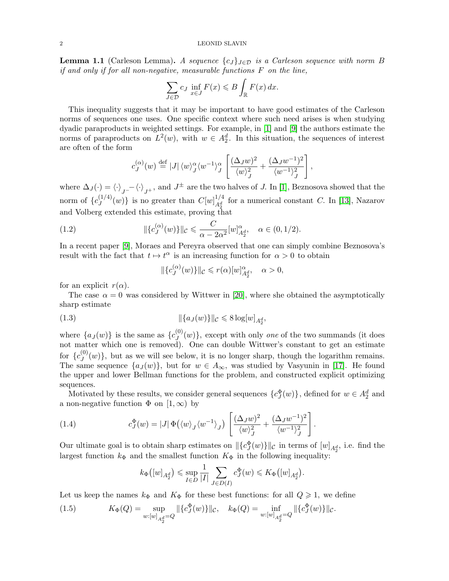<span id="page-1-3"></span>**Lemma 1.1** (Carleson Lemma). A sequence  $\{c_J\}_{J\in\mathcal{D}}$  is a Carleson sequence with norm B if and only if for all non-negative, measurable functions  $F$  on the line,

$$
\sum_{J \in \mathcal{D}} c_J \inf_{x \in J} F(x) \leq B \int_{\mathbb{R}} F(x) dx.
$$

This inequality suggests that it may be important to have good estimates of the Carleson norms of sequences one uses. One specific context where such need arises is when studying dyadic paraproducts in weighted settings. For example, in [\[1\]](#page-28-1) and [\[9\]](#page-28-0) the authors estimate the norms of paraproducts on  $L^2(w)$ , with  $w \in A_2^d$ . In this situation, the sequences of interest are often of the form

$$
c_J^{(\alpha)}(w) \stackrel{\text{def}}{=} |J| \langle w \rangle_J^{\alpha} \langle w^{-1} \rangle_J^{\alpha} \left[ \frac{(\Delta_J w)^2}{\langle w \rangle_J^2} + \frac{(\Delta_J w^{-1})^2}{\langle w^{-1} \rangle_J^2} \right],
$$

where  $\Delta J(\cdot) = \langle \cdot \rangle_{J^{-}} - \langle \cdot \rangle_{J^{+}}$ , and  $J^{\pm}$  are the two halves of J. In [\[1\]](#page-28-1), Beznosova showed that the norm of  $\{c_I^{(1/4)}\}$  $\binom{(1/4)}{J}(w)$  is no greater than  $C[w]_{A_q^d}^{1/4}$  $A_4^{1/4}$  for a numerical constant C. In [\[13\]](#page-28-2), Nazarov and Volberg extended this estimate, proving that

(1.2) 
$$
\| \{c_J^{(\alpha)}(w)\} \|_{\mathcal{C}} \leq \frac{C}{\alpha - 2\alpha^2} [w]_{A_2^d}^{\alpha}, \quad \alpha \in (0, 1/2).
$$

In a recent paper [\[9\]](#page-28-0), Moraes and Pereyra observed that one can simply combine Beznosova's result with the fact that  $t \mapsto t^{\alpha}$  is an increasing function for  $\alpha > 0$  to obtain

<span id="page-1-2"></span><span id="page-1-1"></span>
$$
\|\{c_J^{(\alpha)}(w)\}\|_{\mathcal{C}} \leqslant r(\alpha)[w]_{A_2^d}^{\alpha}, \quad \alpha > 0,
$$

for an explicit  $r(\alpha)$ .

The case  $\alpha = 0$  was considered by Wittwer in [\[20\]](#page-28-3), where she obtained the asymptotically sharp estimate

(1.3) 
$$
\|\{a_J(w)\}\|_{\mathcal{C}} \leq 8 \log[w]_{A_2^d},
$$

where  ${a_J(w)}$  is the same as  ${c_J^{(0)}}$  $\mathcal{L}^{(0)}(w)$ , except with only one of the two summands (it does not matter which one is removed). One can double Wittwer's constant to get an estimate for  $\{c^{(0)}_J$  $J^{(0)}(w)$ , but as we will see below, it is no longer sharp, though the logarithm remains. The same sequence  $\{a_J(w)\}\$ , but for  $w \in A_\infty$ , was studied by Vasyunin in [\[17\]](#page-28-4). He found the upper and lower Bellman functions for the problem, and constructed explicit optimizing sequences.

Motivated by these results, we consider general sequences  $\{c_J^{\Phi}(w)\}\,$ , defined for  $w \in A_2^d$  and a non-negative function  $\Phi$  on  $[1,\infty)$  by

(1.4) 
$$
c_J^{\Phi}(w) = |J| \Phi(\langle w \rangle_J \langle w^{-1} \rangle_J) \left[ \frac{(\Delta_J w)^2}{\langle w \rangle_J^2} + \frac{(\Delta_J w^{-1})^2}{\langle w^{-1} \rangle_J^2} \right].
$$

Our ultimate goal is to obtain sharp estimates on  $\|\{c_J^{\Phi}(w)\}\|_C$  in terms of  $[w]_{A_2^d}$ , i.e. find the largest function  $k_{\Phi}$  and the smallest function  $K_{\Phi}$  in the following inequality:

<span id="page-1-0"></span>
$$
k_{\Phi}\big([w]_{A_2^d}\big) \leqslant \sup_{I \in D} \frac{1}{|I|} \sum_{J \in D(I)} c_J^{\Phi}(w) \leqslant K_{\Phi}\big([w]_{A_2^d}\big).
$$

Let us keep the names  $k_{\Phi}$  and  $K_{\Phi}$  for these best functions: for all  $Q \geq 1$ , we define

(1.5) 
$$
K_{\Phi}(Q) = \sup_{w:[w]_{A_2^d} = Q} \|\{c_J^{\Phi}(w)\}\|_{\mathcal{C}}, \quad k_{\Phi}(Q) = \inf_{w:[w]_{A_2^d} = Q} \|\{c_J^{\Phi}(w)\}\|_{\mathcal{C}}.
$$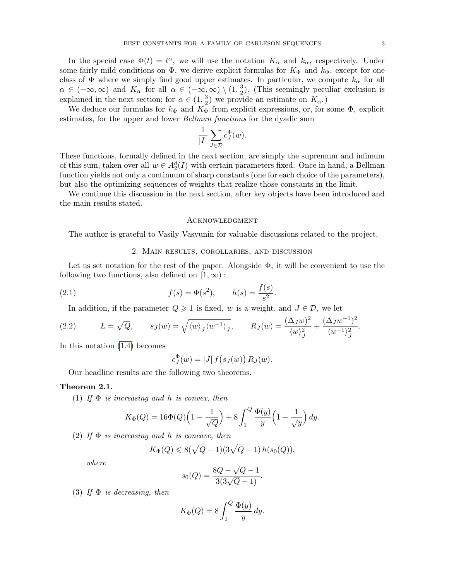In the special case  $\Phi(t) = t^{\alpha}$ , we will use the notation  $K_{\alpha}$  and  $k_{\alpha}$ , respectively. Under some fairly mild conditions on  $\Phi$ , we derive explicit formulas for  $K_{\Phi}$  and  $k_{\Phi}$ , except for one class of  $\Phi$  where we simply find good upper estimates. In particular, we compute  $k_{\alpha}$  for all  $\alpha \in (-\infty, \infty)$  and  $K_{\alpha}$  for all  $\alpha \in (-\infty, \infty) \setminus (1, \frac{3}{2})$  $\frac{3}{2}$ ). (This seemingly peculiar exclusion is explained in the next section; for  $\alpha \in (1, \frac{3}{2})$  $(\frac{3}{2})$  we provide an estimate on  $K_{\alpha}$ .)

We deduce our formulas for  $k_{\Phi}$  and  $K_{\Phi}$  from explicit expressions, or, for some  $\Phi$ , explicit estimates, for the upper and lower *Bellman functions* for the dyadic sum

$$
\frac{1}{|I|} \sum_{J \in \mathcal{D}} c_J^{\Phi}(w).
$$

These functions, formally defined in the next section, are simply the supremum and infimum of this sum, taken over all  $w \in A_2^d(I)$  with certain parameters fixed. Once in hand, a Bellman function yields not only a continuum of sharp constants (one for each choice of the parameters), but also the optimizing sequences of weights that realize those constants in the limit.

We continue this discussion in the next section, after key objects have been introduced and the main results stated.

#### Acknowledgment

The author is grateful to Vasily Vasyunin for valuable discussions related to the project.

### <span id="page-2-2"></span>2. Main results, corollaries, and discussion

Let us set notation for the rest of the paper. Alongside  $\Phi$ , it will be convenient to use the following two functions, also defined on  $[1, \infty)$ :

(2.1) 
$$
f(s) = \Phi(s^2), \qquad h(s) = \frac{f(s)}{s^2}.
$$

<span id="page-2-3"></span>In addition, if the parameter  $Q \geq 1$  is fixed, w is a weight, and  $J \in \mathcal{D}$ , we let

(2.2) 
$$
L = \sqrt{Q}, \qquad s_J(w) = \sqrt{\langle w \rangle_J \langle w^{-1} \rangle_J}, \qquad R_J(w) = \frac{(\Delta_J w)^2}{\langle w \rangle_J^2} + \frac{(\Delta_J w^{-1})^2}{\langle w^{-1} \rangle_J^2}.
$$

In this notation [\(1.4\)](#page-1-0) becomes

$$
c_J^{\Phi}(w) = |J| f(s_J(w)) R_J(w).
$$

Our headline results are the following two theorems.

### <span id="page-2-1"></span>Theorem 2.1.

(1) If  $\Phi$  is increasing and h is convex, then

$$
K_{\Phi}(Q) = 16\Phi(Q)\left(1 - \frac{1}{\sqrt{Q}}\right) + 8\int_{1}^{Q} \frac{\Phi(y)}{y} \left(1 - \frac{1}{\sqrt{y}}\right) dy.
$$

<span id="page-2-0"></span>(2) If  $\Phi$  is increasing and h is concave, then

$$
K_{\Phi}(Q) \leq 8(\sqrt{Q} - 1)(3\sqrt{Q} - 1) h(s_0(Q)),
$$

where

$$
s_0(Q) = \frac{8Q - \sqrt{Q} - 1}{3(3\sqrt{Q} - 1)}.
$$

(3) If  $\Phi$  is decreasing, then

$$
K_{\Phi}(Q) = 8 \int_{1}^{Q} \frac{\Phi(y)}{y} dy.
$$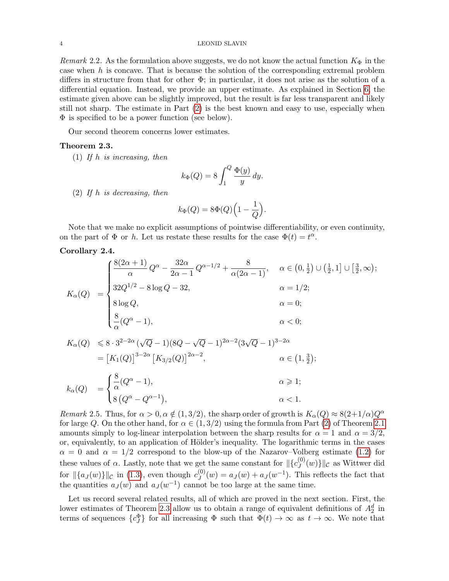Remark 2.2. As the formulation above suggests, we do not know the actual function  $K_{\Phi}$  in the case when  $h$  is concave. That is because the solution of the corresponding extremal problem differs in structure from that for other  $\Phi$ ; in particular, it does not arise as the solution of a differential equation. Instead, we provide an upper estimate. As explained in Section [6,](#page-21-0) the estimate given above can be slightly improved, but the result is far less transparent and likely still not sharp. The estimate in Part [\(2\)](#page-2-0) is the best known and easy to use, especially when Φ is specified to be a power function (see below).

Our second theorem concerns lower estimates.

# <span id="page-3-0"></span>Theorem 2.3.

(1) If h is increasing, then

$$
k_{\Phi}(Q) = 8 \int_{1}^{Q} \frac{\Phi(y)}{y} dy.
$$

(2) If h is decreasing, then

$$
k_{\Phi}(Q) = 8\Phi(Q)\Big(1 - \frac{1}{Q}\Big).
$$

Note that we make no explicit assumptions of pointwise differentiability, or even continuity, on the part of  $\Phi$  or h. Let us restate these results for the case  $\Phi(t) = t^{\alpha}$ .

<span id="page-3-1"></span>Corollary 2.4.

$$
K_{\alpha}(Q) = \begin{cases} \frac{8(2\alpha+1)}{\alpha} Q^{\alpha} - \frac{32\alpha}{2\alpha-1} Q^{\alpha-1/2} + \frac{8}{\alpha(2\alpha-1)}, & \alpha \in (0, \frac{1}{2}) \cup (\frac{1}{2}, 1] \cup [\frac{3}{2}, \infty); \\ 32Q^{1/2} - 8\log Q - 32, & \alpha = 1/2; \\ 8\log Q, & \alpha = 0; \\ \frac{8}{\alpha}(Q^{\alpha} - 1), & \alpha < 0; \end{cases}
$$
  
\n
$$
K_{\alpha}(Q) \leq 8 \cdot 3^{2-2\alpha} (\sqrt{Q} - 1)(8Q - \sqrt{Q} - 1)^{2\alpha-2}(3\sqrt{Q} - 1)^{3-2\alpha}
$$
  
\n
$$
= [K_{1}(Q)]^{3-2\alpha} [K_{3/2}(Q)]^{2\alpha-2}, \qquad \alpha \in (1, \frac{3}{2});
$$
  
\n
$$
K_{\alpha}(Q) = \int_{\alpha}^{8} (Q^{\alpha} - 1), \qquad \alpha \geq 1;
$$

$$
k_{\alpha}(Q) = \begin{cases} \overline{\alpha}^{(Q)} - 1, & \alpha \geq 1, \\ 8(Q^{\alpha} - Q^{\alpha - 1}), & \alpha < 1. \end{cases}
$$

Remark 2.5. Thus, for  $\alpha > 0$ ,  $\alpha \notin (1, 3/2)$ , the sharp order of growth is  $K_{\alpha}(Q) \approx 8(2+1/\alpha)Q^{\alpha}$ for large Q. On the other hand, for  $\alpha \in (1, 3/2)$  using the formula from Part [\(2\)](#page-2-0) of Theorem [2.1](#page-2-1) amounts simply to log-linear interpolation between the sharp results for  $\alpha = 1$  and  $\alpha = 3/2$ , or, equivalently, to an application of Hölder's inequality. The logarithmic terms in the cases  $\alpha = 0$  and  $\alpha = 1/2$  correspond to the blow-up of the Nazarov–Volberg estimate [\(1.2\)](#page-1-1) for these values of  $\alpha$ . Lastly, note that we get the same constant for  $\mathcal{L}^{(0)}_I$  $\|U^{(0)}(w)\}\|_{\mathcal{C}}$  as Wittwer did for  $\|\{a_J (w)\}\|_{\mathcal{C}}$  in [\(1.3\)](#page-1-2), even though  $c_J^{(0)}$  $J_{J}(w) = a_{J}(w) + a_{J}(w^{-1})$ . This reflects the fact that the quantities  $a_J(w)$  and  $a_J(w^{-1})$  cannot be too large at the same time.

Let us record several related results, all of which are proved in the next section. First, the lower estimates of Theorem [2.3](#page-3-0) allow us to obtain a range of equivalent definitions of  $A_2^d$  in terms of sequences  ${c_j^{\Phi}}$  for all increasing  $\Phi$  such that  $\Phi(t) \to \infty$  as  $t \to \infty$ . We note that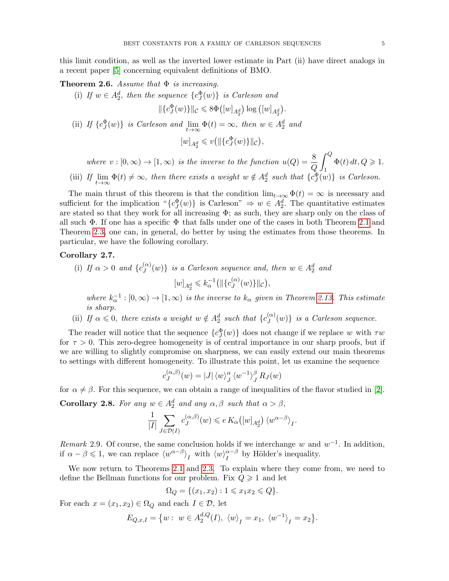this limit condition, as well as the inverted lower estimate in Part (ii) have direct analogs in a recent paper [\[5\]](#page-28-5) concerning equivalent definitions of BMO.

<span id="page-4-0"></span>**Theorem 2.6.** Assume that  $\Phi$  is increasing.

(i) If  $w \in A_2^d$ , then the sequence  $\{c_J^{\Phi}(w)\}\$ is Carleson and  $\|\{c_J^\Phi(w)\}\|_{\mathcal{C}} \leqslant 8\Phi\big([w]_{A_2^d}\big) \log\big([w]_{A_2^d}\big).$ (ii) If  ${c_j^{\Phi}(w)}$  is Carleson and  $\lim_{t\to\infty} \Phi(t) = \infty$ , then  $w \in A_2^d$  and  $[w]_{A_2^d} \leqslant v([|\{c_J^{\Phi}(w)\}||_{\mathcal{C}}),$ where  $v : [0, \infty) \to [1, \infty)$  is the inverse to the function  $u(Q) = \frac{8}{Q}$  $\int_{0}^{Q} \Phi(t) dt, Q \geqslant 1.$ 

1 (iii) If  $\lim_{t\to\infty} \Phi(t) \neq \infty$ , then there exists a weight  $w \notin A_2^d$  such that  $\{c_J^{\Phi}(w)\}\$ is Carleson.

The main thrust of this theorem is that the condition  $\lim_{t\to\infty} \Phi(t) = \infty$  is necessary and sufficient for the implication " ${c_y^{\Phi}(w)}$  is Carleson"  $\Rightarrow w \in A_2^d$ . The quantitative estimates are stated so that they work for all increasing  $\Phi$ ; as such, they are sharp only on the class of all such  $\Phi$ . If one has a specific  $\Phi$  that falls under one of the cases in both Theorem [2.1](#page-2-1) and Theorem [2.3,](#page-3-0) one can, in general, do better by using the estimates from those theorems. In particular, we have the following corollary.

# <span id="page-4-1"></span>Corollary 2.7.

(i) If  $\alpha > 0$  and  $\{c^{(\alpha)}_I\}$  $\{G(\alpha)\}_{j}$  is a Carleson sequence and, then  $w \in A_2^d$  and  $[w]_{A_2^d} \leqslant k_{\alpha}^{-1} (||\{c_J^{(\alpha)}\}||)$  $\mathcal{L}^{(\alpha)}_J(w)\} \|_{\mathcal{C}}\big),$ 

where  $k_{\alpha}^{-1}:[0,\infty) \to [1,\infty)$  is the inverse to  $k_{\alpha}$  given in Theorem [2.13.](#page-6-0) This estimate is sharp.

(ii) If  $\alpha \leq 0$ , there exists a weight  $w \notin A_2^d$  such that  $\{c_j^{(\alpha)}\}$  $\{G^{(u)}(w)\}\$  is a Carleson sequence.

The reader will notice that the sequence  ${c_J^{\Phi}(w)}$  does not change if we replace w with  $\tau w$ for  $\tau > 0$ . This zero-degree homogeneity is of central importance in our sharp proofs, but if we are willing to slightly compromise on sharpness, we can easily extend our main theorems to settings with different homogeneity. To illustrate this point, let us examine the sequence

$$
c_J^{(\alpha,\beta)}(w) = |J| \langle w \rangle_J^{\alpha} \langle w^{-1} \rangle_J^{\beta} R_J(w)
$$

<span id="page-4-2"></span>for  $\alpha \neq \beta$ . For this sequence, we can obtain a range of inequalities of the flavor studied in [\[2\]](#page-28-6). **Corollary 2.8.** For any  $w \in A_2^d$  and any  $\alpha, \beta$  such that  $\alpha > \beta$ ,

$$
\frac{1}{|I|} \sum_{J \in \mathcal{D}(I)} c_J^{(\alpha,\beta)}(w) \leqslant e\, K_\alpha\bigl([w]_{A_2^d}\bigr) \, \langle w^{\alpha - \beta} \rangle_{I}.
$$

Remark 2.9. Of course, the same conclusion holds if we interchange w and  $w^{-1}$ . In addition, if  $\alpha - \beta \leq 1$ , we can replace  $\langle w^{\alpha - \beta} \rangle_I$  with  $\langle w \rangle_I^{\alpha - \beta}$  $I_I^{\alpha-\beta}$  by Hölder's inequality.

We now return to Theorems [2.1](#page-2-1) and [2.3.](#page-3-0) To explain where they come from, we need to define the Bellman functions for our problem. Fix  $Q \geq 1$  and let

$$
\Omega_Q = \{ (x_1, x_2) : 1 \le x_1 x_2 \le Q \}.
$$

For each  $x = (x_1, x_2) \in \Omega_Q$  and each  $I \in \mathcal{D}$ , let

$$
E_{Q,x,I} = \{ w : w \in A_2^{d,Q}(I), \langle w \rangle_I = x_1, \langle w^{-1} \rangle_I = x_2 \}.
$$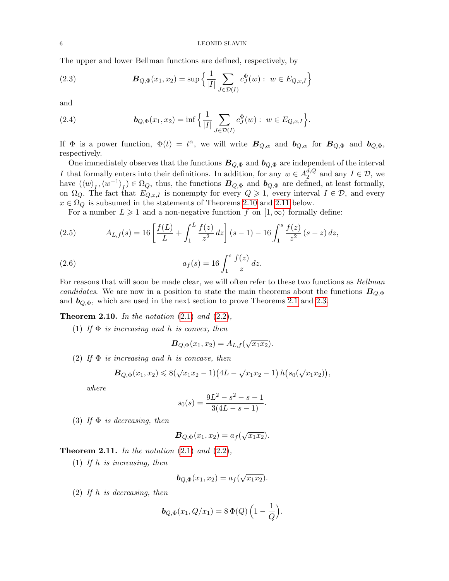The upper and lower Bellman functions are defined, respectively, by

<span id="page-5-2"></span>(2.3) 
$$
\mathbf{B}_{Q,\Phi}(x_1,x_2) = \sup \left\{ \frac{1}{|I|} \sum_{J \in \mathcal{D}(I)} c_J^{\Phi}(w) : w \in E_{Q,x,I} \right\}
$$

and

<span id="page-5-3"></span>(2.4) 
$$
\boldsymbol{b}_{Q,\Phi}(x_1,x_2) = \inf \Big\{ \frac{1}{|I|} \sum_{J \in \mathcal{D}(I)} c_J^{\Phi}(w) : w \in E_{Q,x,I} \Big\}.
$$

If  $\Phi$  is a power function,  $\Phi(t) = t^{\alpha}$ , we will write  $B_{Q,\alpha}$  and  $b_{Q,\alpha}$  for  $B_{Q,\Phi}$  and  $b_{Q,\Phi}$ , respectively.

One immediately observes that the functions  $B_{Q,\Phi}$  and  $b_{Q,\Phi}$  are independent of the interval I that formally enters into their definitions. In addition, for any  $w \in A_2^{d,Q}$  $a^{d,Q}_2$  and any  $I \in \mathcal{D}$ , we have  $({\langle w \rangle}_I, {\langle w^{-1} \rangle}_I) \in \Omega_Q$ , thus, the functions  $B_{Q,\Phi}$  and  $b_{Q,\Phi}$  are defined, at least formally, on  $\Omega_Q$ . The fact that  $E_{Q,x,I}$  is nonempty for every  $Q \geq 1$ , every interval  $I \in \mathcal{D}$ , and every  $x \in \Omega_Q$  is subsumed in the statements of Theorems [2.10](#page-5-0) and [2.11](#page-5-1) below.

<span id="page-5-4"></span>For a number  $L \geq 1$  and a non-negative function f on  $[1,\infty)$  formally define:

(2.5) 
$$
A_{L,f}(s) = 16 \left[ \frac{f(L)}{L} + \int_1^L \frac{f(z)}{z^2} dz \right] (s-1) - 16 \int_1^s \frac{f(z)}{z^2} (s-z) dz,
$$

(2.6) 
$$
a_f(s) = 16 \int_1^s \frac{f(z)}{z} dz.
$$

For reasons that will soon be made clear, we will often refer to these two functions as *Bellman* candidates. We are now in a position to state the main theorems about the functions  $B_{Q,\Phi}$ and  $\mathbf{b}_{Q,\Phi}$ , which are used in the next section to prove Theorems [2.1](#page-2-1) and [2.3.](#page-3-0)

<span id="page-5-0"></span>**Theorem 2.10.** In the notation  $(2.1)$  and  $(2.2)$ ,

(1) If  $\Phi$  is increasing and h is convex, then

<span id="page-5-5"></span>
$$
\mathbf{B}_{Q,\Phi}(x_1,x_2) = A_{L,f}(\sqrt{x_1 x_2}).
$$

(2) If  $\Phi$  is increasing and h is concave, then

$$
\mathbf{B}_{Q,\Phi}(x_1,x_2)\leqslant 8(\sqrt{x_1x_2}-1)\big(4L-\sqrt{x_1x_2}-1\big)\,h\big(s_0(\sqrt{x_1x_2})\big),
$$

where

$$
s_0(s) = \frac{9L^2 - s^2 - s - 1}{3(4L - s - 1)}.
$$

(3) If  $\Phi$  is decreasing, then

$$
\boldsymbol{B}_{Q,\Phi}(x_1,x_2)=a_f(\sqrt{x_1x_2}).
$$

<span id="page-5-1"></span>**Theorem 2.11.** In the notation  $(2.1)$  and  $(2.2)$ ,

(1) If h is increasing, then

$$
\mathbf{b}_{Q,\Phi}(x_1,x_2) = a_f(\sqrt{x_1x_2}).
$$

(2) If h is decreasing, then

$$
b_{Q,\Phi}(x_1, Q/x_1) = 8 \Phi(Q) \left(1 - \frac{1}{Q}\right).
$$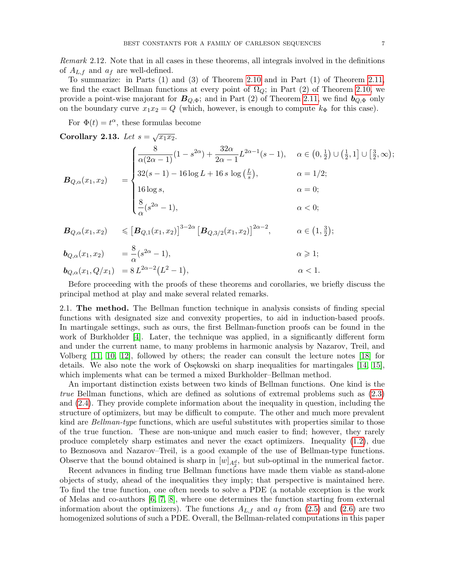Remark 2.12. Note that in all cases in these theorems, all integrals involved in the definitions of  $A_{L,f}$  and  $a_f$  are well-defined.

To summarize: in Parts (1) and (3) of Theorem [2.10](#page-5-0) and in Part (1) of Theorem [2.11,](#page-5-1) we find the exact Bellman functions at every point of  $\Omega_Q$ ; in Part (2) of Theorem [2.10,](#page-5-0) we provide a point-wise majorant for  $B_{Q,\Phi}$ ; and in Part (2) of Theorem [2.11,](#page-5-1) we find  $b_{Q,\Phi}$  only on the boundary curve  $x_1x_2 = Q$  (which, however, is enough to compute  $k_{\Phi}$  for this case).

For  $\Phi(t) = t^{\alpha}$ , these formulas become

<span id="page-6-0"></span>Corollary 2.13. Let 
$$
s = \sqrt{x_1 x_2}
$$
.  
\n
$$
B_{Q,\alpha}(x_1, x_2) = \begin{cases} \frac{8}{\alpha(2\alpha - 1)}(1 - s^{2\alpha}) + \frac{32\alpha}{2\alpha - 1}L^{2\alpha - 1}(s - 1), & \alpha \in (0, \frac{1}{2}) \cup (\frac{1}{2}, 1] \cup [\frac{3}{2}, \infty); \\ 32(s - 1) - 16 \log L + 16 s \log (\frac{L}{s}), & \alpha = 1/2; \\ 16 \log s, & \alpha = 0; \\ \frac{8}{\alpha}(s^{2\alpha} - 1), & \alpha < 0; \end{cases}
$$
  
\n
$$
B_{Q,\alpha}(x_1, x_2) \leq [B_{Q,1}(x_1, x_2)]^{3-2\alpha} [B_{Q,3/2}(x_1, x_2)]^{2\alpha - 2}, \quad \alpha \in (1, \frac{3}{2});
$$
  
\n
$$
b_{Q,\alpha}(x_1, x_2) = \frac{8}{\alpha}(s^{2\alpha} - 1), \quad \alpha \geq 1;
$$

$$
b_{Q,\alpha}(x_1, Q/x_1) = 8 L^{2\alpha - 2} (L^2 - 1), \qquad \alpha < 1.
$$

Before proceeding with the proofs of these theorems and corollaries, we briefly discuss the principal method at play and make several related remarks.

2.1. The method. The Bellman function technique in analysis consists of finding special functions with designated size and convexity properties, to aid in induction-based proofs. In martingale settings, such as ours, the first Bellman-function proofs can be found in the work of Burkholder [\[4\]](#page-28-7). Later, the technique was applied, in a significantly different form and under the current name, to many problems in harmonic analysis by Nazarov, Treil, and Volberg [\[11,](#page-28-8) [10,](#page-28-9) [12\]](#page-28-10), followed by others; the reader can consult the lecture notes [\[18\]](#page-28-11) for details. We also note the work of Osekowski on sharp inequalities for martingales  $[14, 15]$  $[14, 15]$ , which implements what can be termed a mixed Burkholder–Bellman method.

An important distinction exists between two kinds of Bellman functions. One kind is the true Bellman functions, which are defined as solutions of extremal problems such as [\(2.3\)](#page-5-2) and [\(2.4\)](#page-5-3). They provide complete information about the inequality in question, including the structure of optimizers, but may be difficult to compute. The other and much more prevalent kind are *Bellman-type* functions, which are useful substitutes with properties similar to those of the true function. These are non-unique and much easier to find; however, they rarely produce completely sharp estimates and never the exact optimizers. Inequality [\(1.2\)](#page-1-1), due to Beznosova and Nazarov–Treil, is a good example of the use of Bellman-type functions. Observe that the bound obtained is sharp in  $[w]_{A_2^d}$ , but sub-optimal in the numerical factor.

Recent advances in finding true Bellman functions have made them viable as stand-alone objects of study, ahead of the inequalities they imply; that perspective is maintained here. To find the true function, one often needs to solve a PDE (a notable exception is the work of Melas and co-authors [\[6,](#page-28-14) [7,](#page-28-15) [8\]](#page-28-16), where one determines the function starting from external information about the optimizers). The functions  $A_{L,f}$  and  $a_f$  from [\(2.5\)](#page-5-4) and [\(2.6\)](#page-5-5) are two homogenized solutions of such a PDE. Overall, the Bellman-related computations in this paper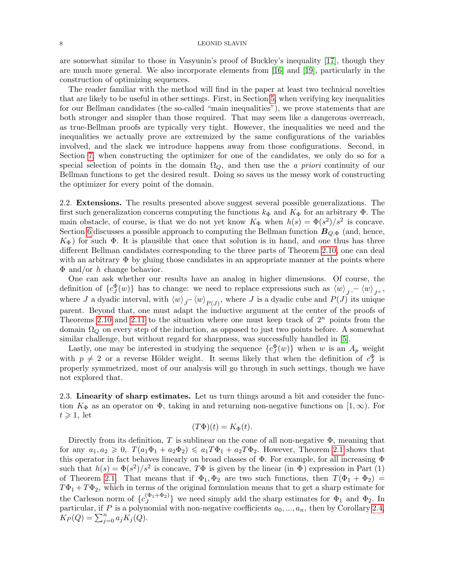are somewhat similar to those in Vasyunin's proof of Buckley's inequality [\[17\]](#page-28-4), though they are much more general. We also incorporate elements from [\[16\]](#page-28-17) and [\[19\]](#page-28-18), particularly in the construction of optimizing sequences.

The reader familiar with the method will find in the paper at least two technical novelties that are likely to be useful in other settings. First, in Section [5,](#page-16-0) when verifying key inequalities for our Bellman candidates (the so-called "main inequalities"), we prove statements that are both stronger and simpler than those required. That may seem like a dangerous overreach, as true-Bellman proofs are typically very tight. However, the inequalities we need and the inequalities we actually prove are extremized by the same configurations of the variables involved, and the slack we introduce happens away from those configurations. Second, in Section [7,](#page-22-0) when constructing the optimizer for one of the candidates, we only do so for a special selection of points in the domain  $\Omega_Q$ , and then use the *a priori* continuity of our Bellman functions to get the desired result. Doing so saves us the messy work of constructing the optimizer for every point of the domain.

2.2. **Extensions.** The results presented above suggest several possible generalizations. The first such generalization concerns computing the functions  $k_{\Phi}$  and  $K_{\Phi}$  for an arbitrary  $\Phi$ . The main obstacle, of course, is that we do not yet know  $K_{\Phi}$  when  $h(s) = \Phi(s^2)/s^2$  is concave. Section [6](#page-21-0) discusses a possible approach to computing the Bellman function  $B_{Q,\Phi}$  (and, hence,  $K_{\Phi}$ ) for such  $\Phi$ . It is plausible that once that solution is in hand, and one thus has three different Bellman candidates corresponding to the three parts of Theorem [2.10,](#page-5-0) one can deal with an arbitrary  $\Phi$  by gluing those candidates in an appropriate manner at the points where  $\Phi$  and/or h change behavior.

One can ask whether our results have an analog in higher dimensions. Of course, the definition of  ${c_j^{\Phi}(w)}$  has to change: we need to replace expressions such as  $\langle w \rangle_{J^-} - \langle w \rangle_{J^+}$ , where J a dyadic interval, with  $\langle w \rangle_{J}$   $\langle w \rangle_{P(J)}$ , where J is a dyadic cube and  $P(J)$  its unique parent. Beyond that, one must adapt the inductive argument at the center of the proofs of Theorems [2.10](#page-5-0) and [2.11](#page-5-1) to the situation where one must keep track of  $2^n$  points from the domain  $\Omega_Q$  on every step of the induction, as opposed to just two points before. A somewhat similar challenge, but without regard for sharpness, was successfully handled in [\[5\]](#page-28-5).

Lastly, one may be interested in studying the sequence  ${c_J^{\Phi}(w)}$  when w is an  $A_p$  weight with  $p \neq 2$  or a reverse Hölder weight. It seems likely that when the definition of  $c_J^{\Phi}$  is properly symmetrized, most of our analysis will go through in such settings, though we have not explored that.

2.3. Linearity of sharp estimates. Let us turn things around a bit and consider the function  $K_{\Phi}$  as an operator on  $\Phi$ , taking in and returning non-negative functions on  $[1,\infty)$ . For  $t \geqslant 1$ , let

$$
(T\Phi)(t) = K_{\Phi}(t).
$$

Directly from its definition, T is sublinear on the cone of all non-negative  $\Phi$ , meaning that for any  $a_1, a_2 \geq 0$ ,  $T(a_1\Phi_1 + a_2\Phi_2) \leq a_1T\Phi_1 + a_2T\Phi_2$ . However, Theorem [2.1](#page-2-1) shows that this operator in fact behaves linearly on broad classes of Φ. For example, for all increasing Φ such that  $h(s) = \Phi(s^2)/s^2$  is concave,  $T\Phi$  is given by the linear (in  $\Phi$ ) expression in Part (1) of Theorem [2.1.](#page-2-1) That means that if  $\Phi_1, \Phi_2$  are two such functions, then  $T(\Phi_1 + \Phi_2)$  =  $T\Phi_1 + T\Phi_2$ , which in terms of the original formulation means that to get a sharp estimate for the Carleson norm of  $\{c_1^{(\Phi_1 + \Phi_2)}\}$  $\{\Psi_1+\Psi_2\}$  we need simply add the sharp estimates for  $\Phi_1$  and  $\Phi_2$ . In particular, if P is a polynomial with non-negative coefficients  $a_0, ..., a_n$ , then by Corollary [2.4,](#page-3-1)  $K_P(Q) = \sum_{j=0}^n a_j K_j(Q).$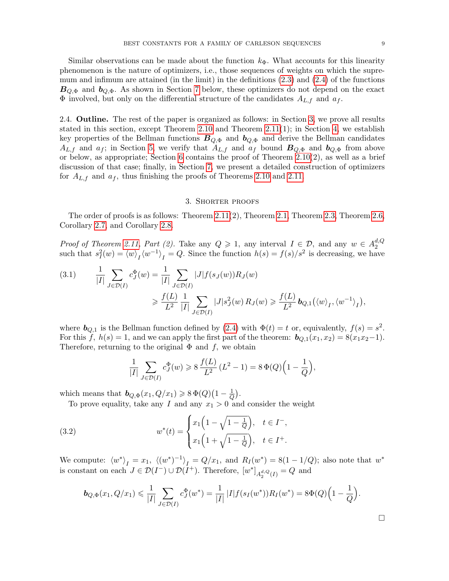Similar observations can be made about the function  $k_{\Phi}$ . What accounts for this linearity phenomenon is the nature of optimizers, i.e., those sequences of weights on which the supremum and infimum are attained (in the limit) in the definitions [\(2.3\)](#page-5-2) and [\(2.4\)](#page-5-3) of the functions  $B_{Q,\Phi}$  and  $b_{Q,\Phi}$ . As shown in Section [7](#page-22-0) below, these optimizers do not depend on the exact  $\Phi$  involved, but only on the differential structure of the candidates  $A_{L,f}$  and  $a_f$ .

2.4. **Outline.** The rest of the paper is organized as follows: in Section [3,](#page-8-0) we prove all results stated in this section, except Theorem [2.10](#page-5-0) and Theorem  $2.11(1)$ ; in Section [4,](#page-12-0) we establish key properties of the Bellman functions  $B_{Q,\Phi}$  and  $b_{Q,\Phi}$  and derive the Bellman candidates  $A_{L,f}$  and  $a_f$ ; in Section [5,](#page-16-0) we verify that  $A_{L,f}$  and  $a_f$  bound  $B_{Q,\Phi}$  and  $b_{Q,\Phi}$  from above or below, as appropriate; Section [6](#page-21-0) contains the proof of Theorem  $2.10(2)$ , as well as a brief discussion of that case; finally, in Section [7,](#page-22-0) we present a detailed construction of optimizers for  $A_{L,f}$  and  $a_f$ , thus finishing the proofs of Theorems [2.10](#page-5-0) and [2.11.](#page-5-1)

## 3. Shorter proofs

<span id="page-8-0"></span>The order of proofs is as follows: Theorem [2.11\(](#page-5-1)2), Theorem [2.1,](#page-2-1) Theorem [2.3,](#page-3-0) Theorem [2.6,](#page-4-0) Corollary [2.7,](#page-4-1) and Corollary [2.8.](#page-4-2)

*Proof of Theorem [2.11,](#page-5-1) Part (2).* Take any  $Q \ge 1$ , any interval  $I \in \mathcal{D}$ , and any  $w \in A_2^{d,Q}$ 2 such that  $s_I^2(w) = \langle w \rangle_I \langle w^{-1} \rangle_I = Q$ . Since the function  $h(s) = f(s)/s^2$  is decreasing, we have

<span id="page-8-1"></span>(3.1) 
$$
\frac{1}{|I|} \sum_{J \in \mathcal{D}(I)} c_J^{\Phi}(w) = \frac{1}{|I|} \sum_{J \in \mathcal{D}(I)} |J| f(s_J(w)) R_J(w)
$$

$$
\geq \frac{f(L)}{L^2} \frac{1}{|I|} \sum_{J \in \mathcal{D}(I)} |J| s_J^2(w) R_J(w) \geq \frac{f(L)}{L^2} b_{Q,1} (\langle w \rangle_I, \langle w^{-1} \rangle_I),
$$

where  $\mathbf{b}_{Q,1}$  is the Bellman function defined by [\(2.4\)](#page-5-3) with  $\Phi(t) = t$  or, equivalently,  $f(s) = s^2$ . For this f,  $h(s) = 1$ , and we can apply the first part of the theorem:  $\mathbf{b}_{Q,1}(x_1, x_2) = 8(x_1x_2-1)$ . Therefore, returning to the original  $\Phi$  and f, we obtain

<span id="page-8-2"></span>
$$
\frac{1}{|I|} \sum_{J \in \mathcal{D}(I)} c_J^{\Phi}(w) \ge 8 \frac{f(L)}{L^2} (L^2 - 1) = 8 \Phi(Q) \left( 1 - \frac{1}{Q} \right),
$$

which means that  $\mathbf{b}_{Q,\Phi}(x_1, Q/x_1) \geqslant 8 \Phi(Q) \left(1 - \frac{1}{Q}\right)$  $\frac{1}{Q}).$ 

To prove equality, take any I and any  $x_1 > 0$  and consider the weight

(3.2) 
$$
w^*(t) = \begin{cases} x_1\left(1 - \sqrt{1 - \frac{1}{Q}}\right), & t \in I^-, \\ x_1\left(1 + \sqrt{1 - \frac{1}{Q}}\right), & t \in I^+. \end{cases}
$$

We compute:  $\langle w^* \rangle_I = x_1$ ,  $\langle (w^*)^{-1} \rangle_I = Q/x_1$ , and  $R_I(w^*) = 8(1 - 1/Q)$ ; also note that  $w^*$ is constant on each  $J \in \mathcal{D}(I^-) \cup \mathcal{D}(I^+)$ . Therefore,  $[w^*]_{A_2^{d,Q}(I)} = Q$  and

$$
\mathbf{b}_{Q,\Phi}(x_1, Q/x_1) \leq \frac{1}{|I|} \sum_{J \in \mathcal{D}(I)} c_J^{\Phi}(w^*) = \frac{1}{|I|} |I| f(s_I(w^*)) R_I(w^*) = 8\Phi(Q) \Big(1 - \frac{1}{Q}\Big).
$$

 $\Box$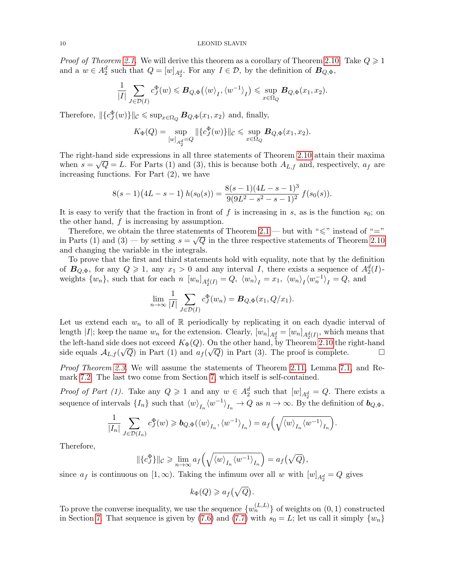*Proof of Theorem [2.1.](#page-2-1)* We will derive this theorem as a corollary of Theorem [2.10.](#page-5-0) Take  $Q \geq 1$ and a  $w \in A_2^d$  such that  $Q = [w]_{A_2^d}$ . For any  $I \in \mathcal{D}$ , by the definition of  $B_{Q,\Phi}$ ,

$$
\frac{1}{|I|} \sum_{J \in \mathcal{D}(I)} c_J^{\Phi}(w) \leqslant B_{Q,\Phi}(\langle w \rangle_I, \langle w^{-1} \rangle_I) \leqslant \sup_{x \in \Omega_Q} B_{Q,\Phi}(x_1, x_2).
$$

Therefore,  $\|\{c_J^{\Phi}(w)\}\|_{\mathcal{C}} \leq \sup_{x \in \Omega_Q} B_{Q, \Phi}(x_1, x_2)$  and, finally,

$$
K_{\Phi}(Q) = \sup_{[w]_{A_2^d} = Q} ||{c_J^{\Phi}(w)}||_c \leq \sup_{x \in \Omega_Q} B_{Q, \Phi}(x_1, x_2).
$$

The right-hand side expressions in all three statements of Theorem [2.10](#page-5-0) attain their maxima when  $s = \sqrt{Q} = L$ . For Parts (1) and (3), this is because both  $A_{L,f}$  and, respectively,  $a_f$  are increasing functions. For Part (2), we have

$$
8(s-1)(4L-s-1) h(s_0(s)) = \frac{8(s-1)(4L-s-1)^3}{9(9L^2-s^2-s-1)^2} f(s_0(s)).
$$

It is easy to verify that the fraction in front of f is increasing in s, as is the function  $s_0$ ; on the other hand,  $f$  is increasing by assumption.

Therefore, we obtain the three statements of Theorem [2.1](#page-2-1) — but with " $\leq$ " instead of "=" in Parts (1) and (3) — by setting  $s = \sqrt{Q}$  in the three respective statements of Theorem [2.10](#page-5-0) and changing the variable in the integrals.

To prove that the first and third statements hold with equality, note that by the definition of  $B_{Q,\Phi}$ , for any  $Q \geq 1$ , any  $x_1 > 0$  and any interval I, there exists a sequence of  $A_2^d(I)$ weights  $\{w_n\}$ , such that for each  $n \ [w_n]_{A_2^d(I)} = Q$ ,  $\langle w_n \rangle_I = x_1$ ,  $\langle w_n \rangle_I \langle w_n^{-1} \rangle_I = Q$ , and

$$
\lim_{n \to \infty} \frac{1}{|I|} \sum_{J \in \mathcal{D}(I)} c_J^{\Phi}(w_n) = \mathbf{B}_{Q, \Phi}(x_1, Q/x_1).
$$

Let us extend each  $w_n$  to all of R periodically by replicating it on each dyadic interval of length |*I*|; keep the name  $w_n$  for the extension. Clearly,  $[w_n]_{A_2^d} = [w_n]_{A_2^d(I)}$ , which means that the left-hand side does not exceed  $K_{\Phi}(Q)$ . On the other hand, by Theorem [2.10](#page-5-0) the right-hand side equals  $\mathcal{A}_{L,f}(\sqrt{Q})$  in Part (1) and  $a_f(\sqrt{Q})$  in Part (3). The proof is complete.

Proof Theorem [2.3.](#page-3-0) We will assume the statements of Theorem [2.11,](#page-5-1) Lemma [7.1,](#page-24-0) and Remark [7.2.](#page-25-0) The last two come from Section [7,](#page-22-0) which itself is self-contained.

*Proof of Part (1).* Take any  $Q \geq 1$  and any  $w \in A_2^d$  such that  $[w]_{A_2^d} = Q$ . There exists a sequence of intervals  $\{I_n\}$  such that  $\langle w \rangle_{I_n} \langle w^{-1} \rangle_{I_n} \to Q$  as  $n \to \infty$ . By the definition of  $b_{Q,\Phi}$ ,

$$
\frac{1}{|I_n|}\sum_{J\in \mathcal{D}(I_n)}c_J^{\Phi}(w)\geqslant \boldsymbol{b}_{Q,\Phi}(\langle w\rangle_{I_n},\langle w^{-1}\rangle_{I_n})=a_f\Big(\sqrt{\langle w\rangle_{I_n}\langle w^{-1}\rangle_{I_n}}\Big).
$$

Therefore,

$$
\|\{c_J^{\Phi}\}\|_{\mathcal{C}} \ge \lim_{n \to \infty} a_f\left(\sqrt{\langle w \rangle_{I_n} \langle w^{-1} \rangle_{I_n}}\right) = a_f(\sqrt{Q}),
$$

since  $a_f$  is continuous on  $[1, \infty)$ . Taking the infimum over all w with  $[w]_{A_2^d} = Q$  gives

$$
k_{\Phi}(Q) \geqslant a_f(\sqrt{Q}).
$$

To prove the converse inequality, we use the sequence  $\{w_n^{(L,L)}\}$  of weights on  $(0,1)$  constructed in Section [7.](#page-22-0) That sequence is given by [\(7.6\)](#page-24-1) and [\(7.7\)](#page-24-2) with  $s_0 = L$ ; let us call it simply  $\{w_n\}$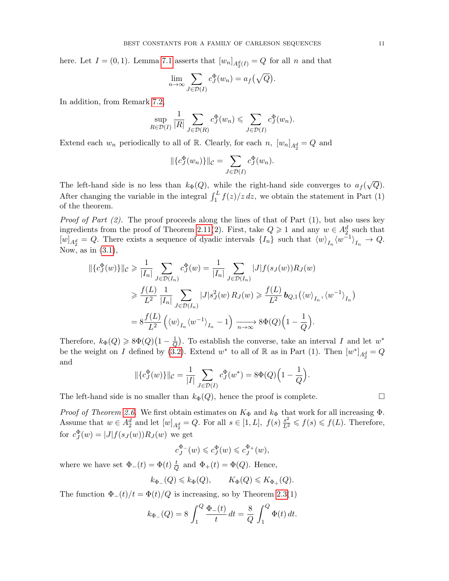here. Let  $I = (0, 1)$ . Lemma [7.1](#page-24-0) asserts that  $[w_n]_{A_2^d(I)} = Q$  for all n and that

$$
\lim_{n \to \infty} \sum_{J \in \mathcal{D}(I)} c_J^{\Phi}(w_n) = a_f(\sqrt{Q}).
$$

In addition, from Remark [7.2,](#page-25-0)

$$
\sup_{R \in \mathcal{D}(I)} \frac{1}{|R|} \sum_{J \in \mathcal{D}(R)} c_J^{\Phi}(w_n) \leqslant \sum_{J \in \mathcal{D}(I)} c_J^{\Phi}(w_n).
$$

Extend each  $w_n$  periodically to all of R. Clearly, for each  $n$ ,  $[w_n]_{A_2^d} = Q$  and

$$
\|\{c_J^{\Phi}(w_n)\}\|_{\mathcal{C}} = \sum_{J \in \mathcal{D}(I)} c_J^{\Phi}(w_n).
$$

The left-hand side is no less than  $k_{\Phi}(Q)$ , while the right-hand side converges to  $a_f$ √  $\overline{Q}).$ After changing the variable in the integral  $\int_1^L f(z)/z \, dz$ , we obtain the statement in Part (1) of the theorem.

*Proof of Part (2).* The proof proceeds along the lines of that of Part (1), but also uses key ingredients from the proof of Theorem [2.11\(](#page-5-1)2). First, take  $Q \geq 1$  and any  $w \in A_2^d$  such that  $[w]_{A_2^d} = Q$ . There exists a sequence of dyadic intervals  $\{I_n\}$  such that  $\langle w \rangle_{I_n} \langle w^{-1} \rangle_{I_n} \to Q$ . Now, as in  $(3.1)$ ,

$$
\begin{split} \|\{c_J^{\Phi}(w)\}\|_{\mathcal{C}} &\geq \frac{1}{|I_n|} \sum_{J \in \mathcal{D}(I_n)} c_J^{\Phi}(w) = \frac{1}{|I_n|} \sum_{J \in \mathcal{D}(I_n)} |J| f(s_J(w)) R_J(w) \\ &\geq \frac{f(L)}{L^2} \frac{1}{|I_n|} \sum_{J \in \mathcal{D}(I_n)} |J| s_J^2(w) R_J(w) \geq \frac{f(L)}{L^2} \mathbf{b}_{Q,1} (\langle w \rangle_{I_n}, \langle w^{-1} \rangle_{I_n}) \\ &= 8 \frac{f(L)}{L^2} \left( \langle w \rangle_{I_n} \langle w^{-1} \rangle_{I_n} - 1 \right) \xrightarrow[n \to \infty]{} 8\Phi(Q) \left( 1 - \frac{1}{Q} \right). \end{split}
$$

Therefore,  $k_{\Phi}(Q) \geqslant 8\Phi(Q)(1-\frac{1}{Q})$  $\frac{1}{Q}$ ). To establish the converse, take an interval I and let  $w^*$ be the weight on I defined by [\(3.2\)](#page-8-2). Extend  $w^*$  to all of R as in Part (1). Then  $[w^*]_{A_2^d} = Q$ and

$$
\|\{c_J^{\Phi}(w)\}\|_{\mathcal{C}} = \frac{1}{|I|} \sum_{J \in \mathcal{D}(I)} c_J^{\Phi}(w^*) = 8\Phi(Q)\left(1 - \frac{1}{Q}\right).
$$

The left-hand side is no smaller than  $k_{\Phi}(Q)$ , hence the proof is complete.

Proof of Theorem [2.6.](#page-4-0) We first obtain estimates on  $K_{\Phi}$  and  $k_{\Phi}$  that work for all increasing  $\Phi$ . Assume that  $w \in A_2^d$  and let  $[w]_{A_2^d} = Q$ . For all  $s \in [1, L]$ ,  $f(s) \frac{s^2}{L^2} \leqslant f(s) \leqslant f(L)$ . Therefore, for  $c_J^{\Phi}(w) = |J| f(s_J(w)) R_J(w)$  we get

$$
c_J^{\Phi_-}(w) \leqslant c_J^{\Phi}(w) \leqslant c_J^{\Phi_+}(w),
$$

where we have set  $\Phi_-(t) = \Phi(t) \frac{t}{C}$  $\frac{t}{Q}$  and  $\Phi_+(t) = \Phi(Q)$ . Hence,

$$
k_{\Phi_{-}}(Q)\leqslant k_{\Phi}(Q),\qquad K_{\Phi}(Q)\leqslant K_{\Phi_{+}}(Q).
$$

The function  $\Phi_-(t)/t = \Phi(t)/Q$  is increasing, so by Theorem [2.3\(](#page-3-0)1)

$$
k_{\Phi_{-}}(Q) = 8 \int_{1}^{Q} \frac{\Phi_{-}(t)}{t} dt = \frac{8}{Q} \int_{1}^{Q} \Phi(t) dt.
$$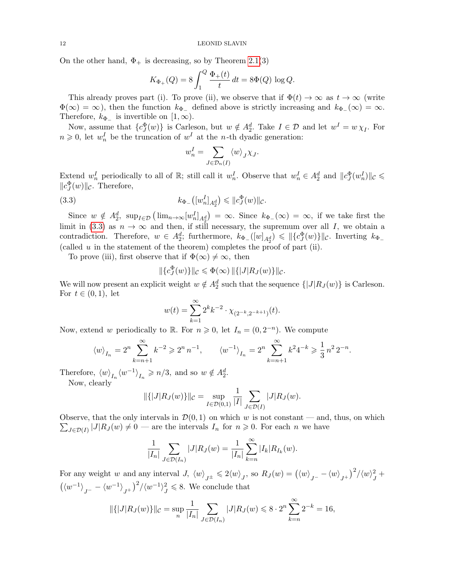On the other hand,  $\Phi_+$  is decreasing, so by Theorem [2.1\(](#page-2-1)3)

$$
K_{\Phi_+}(Q) = 8 \int_1^Q \frac{\Phi_+(t)}{t} dt = 8\Phi(Q) \log Q.
$$

This already proves part (i). To prove (ii), we observe that if  $\Phi(t) \to \infty$  as  $t \to \infty$  (write  $\Phi(\infty) = \infty$ , then the function  $k_{\Phi_{-}}$  defined above is strictly increasing and  $k_{\Phi_{-}}(\infty) = \infty$ . Therefore,  $k_{\Phi_{-}}$  is invertible on [1, ∞).

Now, assume that  ${c_J^{\Phi}(w)}$  is Carleson, but  $w \notin A_2^d$ . Take  $I \in \mathcal{D}$  and let  $w^I = w \chi_I$ . For  $n \geq 0$ , let  $w_n^I$  be the truncation of  $w^I$  at the *n*-th dyadic generation:

<span id="page-11-0"></span>
$$
w_n^I = \sum_{J \in \mathcal{D}_n(I)} \langle w \rangle_J \chi_J.
$$

Extend  $w_n^I$  periodically to all of  $\mathbb{R}$ ; still call it  $w_n^I$ . Observe that  $w_n^I \in A_2^d$  and  $||c_J^{\Phi}(w_n^I)||_C \leq$  $||c_J^{\Phi}(w)||_{\mathcal{C}}$ . Therefore,

(3.3) 
$$
k_{\Phi_{-}}([w_{n}^{I}]_{A_{2}^{d}}) \leq \|c_{J}^{\Phi}(w)\|_{\mathcal{C}}.
$$

Since  $w \notin A_2^d$ ,  $\sup_{I \in \mathcal{D}} (\lim_{n \to \infty} [w_n^I]_{A_2^d}) = \infty$ . Since  $k_{\Phi}(\infty) = \infty$ , if we take first the limit in [\(3.3\)](#page-11-0) as  $n \to \infty$  and then, if still necessary, the supremum over all I, we obtain a contradiction. Therefore,  $w \in A_2^d$ ; furthermore,  $k_{\Phi}([w]_{A_2^d}) \leq ||\{c_J^{\Phi}(w)\}||_c$ . Inverting  $k_{\Phi}$ (called  $u$  in the statement of the theorem) completes the proof of part (ii).

To prove (iii), first observe that if  $\Phi(\infty) \neq \infty$ , then

$$
\|\{c_J^{\Phi}(w)\}\|_{\mathcal{C}} \leq \Phi(\infty) \, \|\{|J| R_J(w)\}\|_{\mathcal{C}}.
$$

We will now present an explicit weight  $w \notin A_2^d$  such that the sequence  $\{|J|R_J(w)\}\$ is Carleson. For  $t \in (0,1)$ , let

$$
w(t) = \sum_{k=1}^{\infty} 2^k k^{-2} \cdot \chi_{(2^{-k}, 2^{-k+1})}(t).
$$

Now, extend w periodically to R. For  $n \geq 0$ , let  $I_n = (0, 2^{-n})$ . We compute

$$
\left\langle w\right\rangle_{I_n} = 2^n \sum_{k=n+1}^{\infty} k^{-2} \geqslant 2^n n^{-1}, \qquad \left\langle w^{-1}\right\rangle_{I_n} = 2^n \sum_{k=n+1}^{\infty} k^2 4^{-k} \geqslant \frac{1}{3} n^2 2^{-n}.
$$

Therefore,  $\langle w \rangle_{I_n} \langle w^{-1} \rangle_{I_n} \geqslant n/3$ , and so  $w \notin A_2^d$ .

Now, clearly

$$
\|\{|J|R_{J}(w)\}\|_{\mathcal{C}} = \sup_{I \in \mathcal{D}(0,1)} \frac{1}{|I|} \sum_{J \in \mathcal{D}(I)} |J|R_{J}(w).
$$

Observe, that the only intervals in  $\mathcal{D}(0,1)$  on which w is not constant — and, thus, on which  $\sum_{J \in \mathcal{D}(I)} |J| R_J(w) \neq 0$  — are the intervals  $I_n$  for  $n \geq 0$ . For each n we have

$$
\frac{1}{|I_n|} \sum_{J \in \mathcal{D}(I_n)} |J| R_J(w) = \frac{1}{|I_n|} \sum_{k=n}^{\infty} |I_k| R_{I_k}(w).
$$

For any weight w and any interval  $J$ ,  $\langle w \rangle_{J^{\pm}} \leqslant 2 \langle w \rangle_{J}$ , so  $R_J(w) = (\langle w \rangle_{J^{-}} - \langle w \rangle_{J^{+}})^2 / \langle w \rangle_{J}^2$  $j^2 +$  $\left(\langle w^{-1} \rangle_{J^{-}} - \langle w^{-1} \rangle_{J^{+}} \right)^2 / \langle w^{-1} \rangle_{J}^2$  $j<sup>2</sup> \leq 8$ . We conclude that

$$
\|\{|J|R_J(w)\}\|_{\mathcal{C}} = \sup_n \frac{1}{|I_n|} \sum_{J \in \mathcal{D}(I_n)} |J|R_J(w) \leq 8 \cdot 2^n \sum_{k=n}^{\infty} 2^{-k} = 16,
$$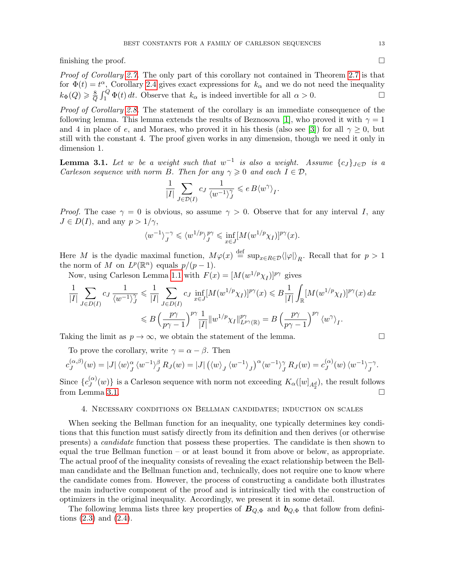finishing the proof.  $\Box$ 

Proof of Corollary [2.7.](#page-4-1) The only part of this corollary not contained in Theorem [2.7](#page-4-1) is that for  $\Phi(t) = t^{\alpha}$ , Corollary [2.4](#page-3-1) gives exact expressions for  $k_{\alpha}$  and we do not need the inequality  $k_{\Phi}(Q) \geqslant \frac{8}{C}$  $\frac{8}{Q} \int_1^Q \Phi(t) dt$ . Observe that  $k_\alpha$  is indeed invertible for all  $\alpha > 0$ .

Proof of Corollary [2.8.](#page-4-2) The statement of the corollary is an immediate consequence of the following lemma. This lemma extends the results of Beznosova [\[1\]](#page-28-1), who proved it with  $\gamma = 1$ and 4 in place of e, and Moraes, who proved it in his thesis (also see [\[3\]](#page-28-19)) for all  $\gamma \geq 0$ , but still with the constant 4. The proof given works in any dimension, though we need it only in dimension 1.

<span id="page-12-1"></span>**Lemma 3.1.** Let w be a weight such that  $w^{-1}$  is also a weight. Assume  $\{c_J\}_{J\in\mathcal{D}}$  is a Carleson sequence with norm B. Then for any  $\gamma \geq 0$  and each  $I \in \mathcal{D}$ ,

$$
\frac{1}{|I|} \sum_{J \in \mathcal{D}(I)} c_J \, \frac{1}{\langle w^{-1} \rangle_J^{\gamma}} \leqslant e \, B \langle w^{\gamma} \rangle_I.
$$

*Proof.* The case  $\gamma = 0$  is obvious, so assume  $\gamma > 0$ . Observe that for any interval I, any  $J \in D(I)$ , and any  $p > 1/\gamma$ ,

$$
\langle w^{-1}\rangle_J^{-\gamma} \leq \langle w^{1/p}\rangle_J^{p\gamma} \leq \inf_{x \in J} [M(w^{1/p}\chi_I)]^{p\gamma}(x).
$$

Here M is the dyadic maximal function,  $M\varphi(x) \stackrel{\text{def}}{=} \sup_{x \in R \in \mathcal{D}} {\langle |\varphi| \rangle}_R$ . Recall that for  $p > 1$ the norm of M on  $L^p(\mathbb{R}^n)$  equals  $p/(p-1)$ .

Now, using Carleson Lemma [1.1](#page-1-3) with  $F(x) = [M(w^{1/p}\chi_I)]^{p\gamma}$  gives

$$
\frac{1}{|I|} \sum_{J \in D(I)} c_J \frac{1}{\langle w^{-1} \rangle_J^{\gamma}} \leq \frac{1}{|I|} \sum_{J \in D(I)} c_J \inf_{x \in J} [M(w^{1/p} \chi_I)]^{p\gamma}(x) \leq B \frac{1}{|I|} \int_{\mathbb{R}} [M(w^{1/p} \chi_I)]^{p\gamma}(x) dx
$$
  

$$
\leq B \left(\frac{p\gamma}{p\gamma - 1}\right)^{p\gamma} \frac{1}{|I|} \|w^{1/p} \chi_I\|_{L^{p\gamma}(\mathbb{R})}^{p\gamma} = B \left(\frac{p\gamma}{p\gamma - 1}\right)^{p\gamma} \langle w^{\gamma} \rangle_I.
$$

Taking the limit as  $p \to \infty$ , we obtain the statement of the lemma.

To prove the corollary, write  $\gamma = \alpha - \beta$ . Then

$$
c_J^{(\alpha,\beta)}(w) = |J| \langle w \rangle_J^{\alpha} \langle w^{-1} \rangle_J^{\beta} R_J(w) = |J| \left( \langle w \rangle_J \langle w^{-1} \rangle_J \right)^{\alpha} \langle w^{-1} \rangle_J^{\gamma} R_J(w) = c_J^{(\alpha)}(w) \langle w^{-1} \rangle_J^{-\gamma}.
$$

Since  $\{c_J^{(\alpha)}\}$  $\{G'(w)\}\$ is a Carleson sequence with norm not exceeding  $K_{\alpha}([w]_{A_2^d})$ , the result follows from Lemma [3.1.](#page-12-1)  $\Box$ 

### 4. Necessary conditions on Bellman candidates; induction on scales

<span id="page-12-0"></span>When seeking the Bellman function for an inequality, one typically determines key conditions that this function must satisfy directly from its definition and then derives (or otherwise presents) a candidate function that possess these properties. The candidate is then shown to equal the true Bellman function – or at least bound it from above or below, as appropriate. The actual proof of the inequality consists of revealing the exact relationship between the Bellman candidate and the Bellman function and, technically, does not require one to know where the candidate comes from. However, the process of constructing a candidate both illustrates the main inductive component of the proof and is intrinsically tied with the construction of optimizers in the original inequality. Accordingly, we present it in some detail.

The following lemma lists three key properties of  $B_{Q,\Phi}$  and  $b_{Q,\Phi}$  that follow from definitions [\(2.3\)](#page-5-2) and [\(2.4\)](#page-5-3).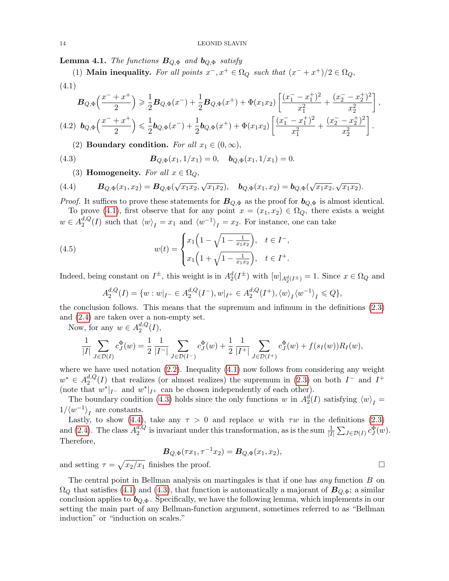<span id="page-13-4"></span>**Lemma 4.1.** The functions  $B_{Q,\Phi}$  and  $b_{Q,\Phi}$  satisfy

<span id="page-13-0"></span>(1) Main inequality. For all points  $x^-, x^+ \in \Omega_Q$  such that  $(x^- + x^+)/2 \in \Omega_Q$ , (4.1)

$$
\mathbf{B}_{Q,\Phi}\left(\frac{x^{-}+x^{+}}{2}\right) \geq \frac{1}{2}\mathbf{B}_{Q,\Phi}(x^{-}) + \frac{1}{2}\mathbf{B}_{Q,\Phi}(x^{+}) + \Phi(x_{1}x_{2})\left[\frac{(x_{1}^{-}-x_{1}^{+})^{2}}{x_{1}^{2}} + \frac{(x_{2}^{-}-x_{2}^{+})^{2}}{x_{2}^{2}}\right],
$$
\n
$$
(4.2)\ \mathbf{b}_{Q,\Phi}\left(\frac{x^{-}+x^{+}}{2}\right) \leq \frac{1}{2}\mathbf{b}_{Q,\Phi}(x^{-}) + \frac{1}{2}\mathbf{b}_{Q,\Phi}(x^{+}) + \Phi(x_{1}x_{2})\left[\frac{(x_{1}^{-}-x_{1}^{+})^{2}}{x_{1}^{2}} + \frac{(x_{2}^{-}-x_{2}^{+})^{2}}{x_{2}^{2}}\right].
$$

<span id="page-13-1"></span>(2) Boundary condition. For all  $x_1 \in (0, \infty)$ ,

(4.3) 
$$
\boldsymbol{B}_{Q,\Phi}(x_1,1/x_1)=0, \quad \boldsymbol{b}_{Q,\Phi}(x_1,1/x_1)=0.
$$

<span id="page-13-2"></span>(3) Homogeneity. For all  $x \in \Omega_Q$ ,

(4.4) 
$$
B_{Q,\Phi}(x_1,x_2)=B_{Q,\Phi}(\sqrt{x_1x_2},\sqrt{x_1x_2}), \quad b_{Q,\Phi}(x_1,x_2)=b_{Q,\Phi}(\sqrt{x_1x_2},\sqrt{x_1x_2}).
$$

*Proof.* It suffices to prove these statements for  $B_{Q,\Phi}$  as the proof for  $b_{Q,\Phi}$  is almost identical.

To prove [\(4.1\)](#page-13-0), first observe that for any point  $x = (x_1, x_2) \in \Omega_Q$ , there exists a weight  $w \in A_2^{d,Q}$  $\binom{d, Q}{2}(I)$  such that  $\langle w \rangle_I = x_1$  and  $\langle w^{-1} \rangle_I = x_2$ . For instance, one can take

(4.5) 
$$
w(t) = \begin{cases} x_1 \left( 1 - \sqrt{1 - \frac{1}{x_1 x_2}} \right), & t \in I^-, \\ x_1 \left( 1 + \sqrt{1 - \frac{1}{x_1 x_2}} \right), & t \in I^+. \end{cases}
$$

Indeed, being constant on  $I^{\pm}$ , this weight is in  $A_2^d(I^{\pm})$  with  $[w]_{A_2^d(I^{\pm})} = 1$ . Since  $x \in \Omega_Q$  and

<span id="page-13-3"></span>
$$
A_2^{d,Q}(I) = \{ w : w|_{I^-} \in A_2^{d,Q}(I^-), w|_{I^+} \in A_2^{d,Q}(I^+), \langle w \rangle_I \langle w^{-1} \rangle_I \leq Q \},\
$$

the conclusion follows. This means that the supremum and infimum in the definitions [\(2.3\)](#page-5-2) and [\(2.4\)](#page-5-3) are taken over a non-empty set.

Now, for any  $w \in A_2^{d,Q}$  $_2^{a,Q}(I),$ 

$$
\frac{1}{|I|} \sum_{J \in \mathcal{D}(I)} c_J^{\Phi}(w) = \frac{1}{2} \frac{1}{|I^-|} \sum_{J \in \mathcal{D}(I^-)} c_J^{\Phi}(w) + \frac{1}{2} \frac{1}{|I^+|} \sum_{J \in \mathcal{D}(I^+)} c_J^{\Phi}(w) + f(s_I(w)) R_I(w),
$$

where we have used notation [\(2.2\)](#page-2-3). Inequality [\(4.1\)](#page-13-0) now follows from considering any weight  $w^* \in A_2^{d,Q}$  $^{d,Q}_{2}(I)$  that realizes (or almost realizes) the supremum in [\(2.3\)](#page-5-2) on both  $I^-$  and  $I^+$ (note that  $w^*|_{I^-}$  and  $w^*|_{I^+}$  can be chosen independently of each other).

The boundary condition [\(4.3\)](#page-13-1) holds since the only functions w in  $A_2^d(I)$  satisfying  $\langle w \rangle_I =$  $1/\langle w^{-1} \rangle_t$  are constants.

Lastly, to show [\(4.4\)](#page-13-2), take any  $\tau > 0$  and replace w with  $\tau w$  in the definitions [\(2.3\)](#page-5-2) and [\(2.4\)](#page-5-3). The class  $A_2^{d,Q}$  $\frac{d_i Q}{2}$  is invariant under this transformation, as is the sum  $\frac{1}{|I|} \sum_{J \in \mathcal{D}(I)} c_J^{\Phi}(w)$ . Therefore,

$$
\boldsymbol{B}_{Q,\Phi}(\tau x_1, \tau^{-1} x_2) = \boldsymbol{B}_{Q,\Phi}(x_1, x_2),
$$

and setting  $\tau = \sqrt{x_2/x_1}$  finishes the proof.

The central point in Bellman analysis on martingales is that if one has *any* function  $B$  on  $\Omega_Q$  that satisfies [\(4.1\)](#page-13-0) and [\(4.3\)](#page-13-1), that function is automatically a majorant of  $B_{Q,\Phi}$ ; a similar conclusion applies to  $b_{Q,\Phi}$ . Specifically, we have the following lemma, which implements in our setting the main part of any Bellman-function argument, sometimes referred to as "Bellman induction" or "induction on scales."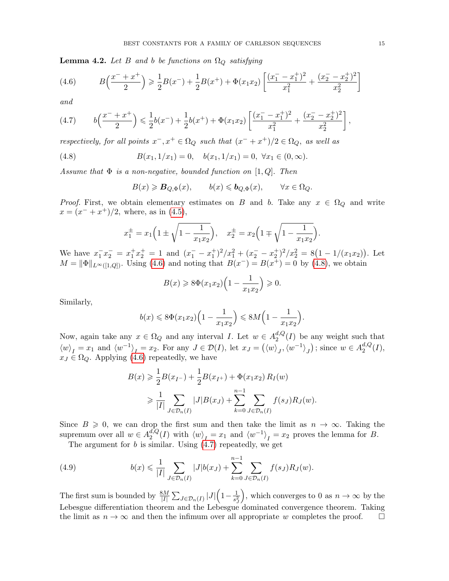<span id="page-14-4"></span>**Lemma 4.2.** Let B and b be functions on  $\Omega_Q$  satisfying

<span id="page-14-0"></span>(4.6) 
$$
B\left(\frac{x^{-}+x^{+}}{2}\right) \geq \frac{1}{2}B(x^{-}) + \frac{1}{2}B(x^{+}) + \Phi(x_{1}x_{2})\left[\frac{(x_{1}^{-}-x_{1}^{+})^{2}}{x_{1}^{2}} + \frac{(x_{2}^{-}-x_{2}^{+})^{2}}{x_{2}^{2}}\right]
$$

and

<span id="page-14-2"></span>
$$
(4.7) \t b\left(\frac{x^{-}+x^{+}}{2}\right) \leq \frac{1}{2}b(x^{-}) + \frac{1}{2}b(x^{+}) + \Phi(x_{1}x_{2})\left[\frac{(x_{1}^{-}-x_{1}^{+})^{2}}{x_{1}^{2}} + \frac{(x_{2}^{-}-x_{2}^{+})^{2}}{x_{2}^{2}}\right],
$$

respectively, for all points  $x^-, x^+ \in \Omega_Q$  such that  $(x^- + x^+)/2 \in \Omega_Q$ , as well as

(4.8) 
$$
B(x_1, 1/x_1) = 0, \quad b(x_1, 1/x_1) = 0, \ \forall x_1 \in (0, \infty).
$$

Assume that  $\Phi$  is a non-negative, bounded function on [1, Q]. Then

<span id="page-14-1"></span>
$$
B(x) \geqslant B_{Q,\Phi}(x), \qquad b(x) \leqslant b_{Q,\Phi}(x), \qquad \forall x \in \Omega_Q.
$$

*Proof.* First, we obtain elementary estimates on B and b. Take any  $x \in \Omega_Q$  and write  $x = (x^- + x^+)/2$ , where, as in [\(4.5\)](#page-13-3),

$$
x_1^{\pm} = x_1 \left( 1 \pm \sqrt{1 - \frac{1}{x_1 x_2}} \right), \quad x_2^{\pm} = x_2 \left( 1 \mp \sqrt{1 - \frac{1}{x_1 x_2}} \right).
$$

We have  $x_1^- x_2^- = x_1^+ x_2^+ = 1$  and  $(x_1^- - x_1^+)^2 / x_1^2 + (x_2^- - x_2^+)^2 / x_2^2 = 8(1 - 1/(x_1 x_2))$ . Let  $M = ||\Phi||_{L^{\infty}([1, Q])}$ . Using [\(4.6\)](#page-14-0) and noting that  $B(x^{-}) = B(x^{+}) = 0$  by [\(4.8\)](#page-14-1), we obtain

$$
B(x) \geqslant 8\Phi(x_1x_2)\left(1 - \frac{1}{x_1x_2}\right) \geqslant 0.
$$

Similarly,

$$
b(x) \le 8\Phi(x_1x_2)\left(1 - \frac{1}{x_1x_2}\right) \le 8M\left(1 - \frac{1}{x_1x_2}\right)
$$

.

Now, again take any  $x \in \Omega_Q$  and any interval I. Let  $w \in A_2^{d,Q}$  $a_2^{a,Q}(I)$  be any weight such that  $\langle w \rangle_I = x_1$  and  $\langle w^{-1} \rangle_I = x_2$ . For any  $J \in \mathcal{D}(I)$ , let  $x_J = (\langle w \rangle_J, \langle w^{-1} \rangle_J)$ ; since  $w \in A_2^{d,Q}$  $_2^{a,Q}(I),$  $x_J \in \Omega_Q$ . Applying [\(4.6\)](#page-14-0) repeatedly, we have

$$
B(x) \geq \frac{1}{2}B(x_{I-}) + \frac{1}{2}B(x_{I+}) + \Phi(x_1x_2) R_I(w)
$$
  
 
$$
\geq \frac{1}{|I|} \sum_{J \in \mathcal{D}_n(I)} |J|B(x_J) + \sum_{k=0}^{n-1} \sum_{J \in \mathcal{D}_n(I)} f(s_J) R_J(w).
$$

Since  $B \ge 0$ , we can drop the first sum and then take the limit as  $n \to \infty$ . Taking the supremum over all  $w \in A_2^{d,Q}$  $\binom{d, Q}{2}(I)$  with  $\langle w \rangle_I = x_1$  and  $\langle w^{-1} \rangle_I = x_2$  proves the lemma for B.

<span id="page-14-3"></span>The argument for b is similar. Using  $(4.7)$  repeatedly, we get

(4.9) 
$$
b(x) \leq \frac{1}{|I|} \sum_{J \in \mathcal{D}_n(I)} |J| b(x_J) + \sum_{k=0}^{n-1} \sum_{J \in \mathcal{D}_n(I)} f(s_J) R_J(w).
$$

The first sum is bounded by  $\frac{8M}{|I|} \sum_{J \in \mathcal{D}_n(I)} |J| \left(1 - \frac{1}{s^2}\right)$  $s_J^2$ ), which converges to 0 as  $n \to \infty$  by the Lebesgue differentiation theorem and the Lebesgue dominated convergence theorem. Taking the limit as  $n \to \infty$  and then the infimum over all appropriate w completes the proof.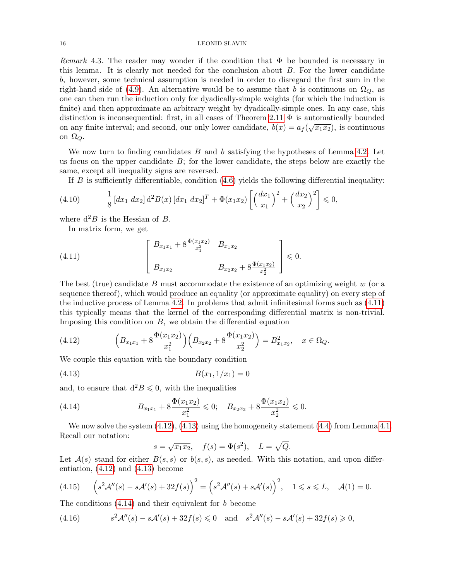## 16 LEONID SLAVIN

Remark 4.3. The reader may wonder if the condition that  $\Phi$  be bounded is necessary in this lemma. It is clearly not needed for the conclusion about  $B$ . For the lower candidate b, however, some technical assumption is needed in order to disregard the first sum in the right-hand side of [\(4.9\)](#page-14-3). An alternative would be to assume that b is continuous on  $\Omega_{\mathcal{O}}$ , as one can then run the induction only for dyadically-simple weights (for which the induction is finite) and then approximate an arbitrary weight by dyadically-simple ones. In any case, this distinction is inconsequential: first, in all cases of Theorem [2.11](#page-5-1)  $\Phi$  is automatically bounded on any finite interval; and second, our only lower candidate,  $b(x) = a_f(\sqrt{x_1 x_2})$ , is continuous on  $\Omega_Q$ .

We now turn to finding candidates  $B$  and  $b$  satisfying the hypotheses of Lemma [4.2.](#page-14-4) Let us focus on the upper candidate  $B$ ; for the lower candidate, the steps below are exactly the same, except all inequality signs are reversed.

If  $B$  is sufficiently differentiable, condition  $(4.6)$  yields the following differential inequality:

<span id="page-15-6"></span>(4.10) 
$$
\frac{1}{8} [dx_1 dx_2] d^2 B(x) [dx_1 dx_2]^T + \Phi(x_1 x_2) \left[ \left( \frac{dx_1}{x_1} \right)^2 + \left( \frac{dx_2}{x_2} \right)^2 \right] \leq 0,
$$

where  $d^2B$  is the Hessian of B.

<span id="page-15-0"></span>In matrix form, we get

(4.11) 
$$
\begin{bmatrix} B_{x_1x_1} + 8 \frac{\Phi(x_1x_2)}{x_1^2} & B_{x_1x_2} \\ B_{x_1x_2} & B_{x_2x_2} + 8 \frac{\Phi(x_1x_2)}{x_2^2} \end{bmatrix} \leq 0.
$$

The best (true) candidate B must accommodate the existence of an optimizing weight  $w$  (or a sequence thereof), which would produce an equality (or approximate equality) on every step of the inductive process of Lemma [4.2.](#page-14-4) In problems that admit infinitesimal forms such as [\(4.11\)](#page-15-0) this typically means that the kernel of the corresponding differential matrix is non-trivial. Imposing this condition on  $B$ , we obtain the differential equation

<span id="page-15-1"></span>(4.12) 
$$
\left(B_{x_1x_1} + 8\frac{\Phi(x_1x_2)}{x_1^2}\right)\left(B_{x_2x_2} + 8\frac{\Phi(x_1x_2)}{x_2^2}\right) = B_{x_1x_2}^2, \quad x \in \Omega_Q.
$$

We couple this equation with the boundary condition

$$
(4.13) \t\t B(x_1, 1/x_1) = 0
$$

and, to ensure that  $d^2B \leq 0$ , with the inequalities

(4.14) 
$$
B_{x_1x_1} + 8\frac{\Phi(x_1x_2)}{x_1^2} \leq 0; \quad B_{x_2x_2} + 8\frac{\Phi(x_1x_2)}{x_2^2} \leq 0.
$$

We now solve the system  $(4.12)$ ,  $(4.13)$  using the homogeneity statement  $(4.4)$  from Lemma [4.1.](#page-13-4) Recall our notation:

<span id="page-15-3"></span><span id="page-15-2"></span>
$$
s = \sqrt{x_1 x_2}
$$
,  $f(s) = \Phi(s^2)$ ,  $L = \sqrt{Q}$ .

Let  $\mathcal{A}(s)$  stand for either  $B(s, s)$  or  $b(s, s)$ , as needed. With this notation, and upon differentiation, [\(4.12\)](#page-15-1) and [\(4.13\)](#page-15-2) become

<span id="page-15-4"></span>
$$
(4.15)\qquad \left(s^2\mathcal{A}''(s) - s\mathcal{A}'(s) + 32f(s)\right)^2 = \left(s^2\mathcal{A}''(s) + s\mathcal{A}'(s)\right)^2, \quad 1 \le s \le L, \quad \mathcal{A}(1) = 0.
$$

The conditions  $(4.14)$  and their equivalent for b become

<span id="page-15-5"></span>(4.16) 
$$
s^2 \mathcal{A}''(s) - s \mathcal{A}'(s) + 32f(s) \leq 0 \quad \text{and} \quad s^2 \mathcal{A}''(s) - s \mathcal{A}'(s) + 32f(s) \geq 0,
$$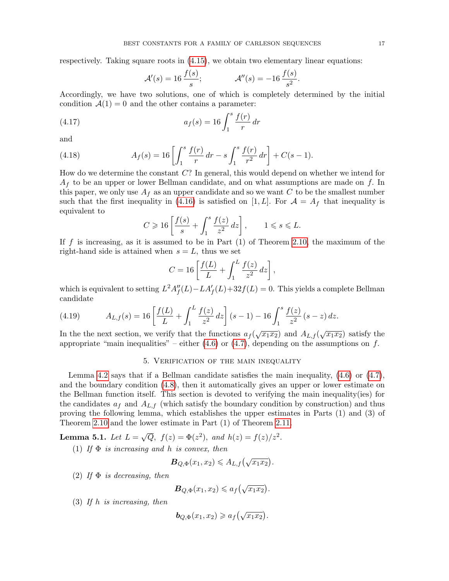respectively. Taking square roots in [\(4.15\)](#page-15-4), we obtain two elementary linear equations:

$$
\mathcal{A}'(s) = 16 \frac{f(s)}{s};
$$
  $\mathcal{A}''(s) = -16 \frac{f(s)}{s^2}.$ 

Accordingly, we have two solutions, one of which is completely determined by the initial condition  $\mathcal{A}(1) = 0$  and the other contains a parameter:

(4.17) 
$$
a_f(s) = 16 \int_1^s \frac{f(r)}{r} dr
$$

and

(4.18) 
$$
A_f(s) = 16 \left[ \int_1^s \frac{f(r)}{r} dr - s \int_1^s \frac{f(r)}{r^2} dr \right] + C(s - 1).
$$

How do we determine the constant C? In general, this would depend on whether we intend for  $A_f$  to be an upper or lower Bellman candidate, and on what assumptions are made on f. In this paper, we only use  $A_f$  as an upper candidate and so we want C to be the smallest number such that the first inequality in [\(4.16\)](#page-15-5) is satisfied on [1, L]. For  $\mathcal{A} = A_f$  that inequality is equivalent to

$$
C \geqslant 16 \left[ \frac{f(s)}{s} + \int_1^s \frac{f(z)}{z^2} \, dz \right], \qquad 1 \leqslant s \leqslant L.
$$

If f is increasing, as it is assumed to be in Part  $(1)$  of Theorem [2.10,](#page-5-0) the maximum of the right-hand side is attained when  $s = L$ , thus we set

$$
C = 16 \left[ \frac{f(L)}{L} + \int_1^L \frac{f(z)}{z^2} dz \right],
$$

which is equivalent to setting  $L^2 A''_f(L) - L A'_f(L) + 32f(L) = 0$ . This yields a complete Bellman candidate

<span id="page-16-2"></span>(4.19) 
$$
A_{L,f}(s) = 16 \left[ \frac{f(L)}{L} + \int_1^L \frac{f(z)}{z^2} dz \right] (s-1) - 16 \int_1^s \frac{f(z)}{z^2} (s-z) dz.
$$

In the the next section, we verify that the functions  $a_f(\sqrt{x_1x_2})$  and  $A_{L,f}(\sqrt{x_1x_2})$  satisfy the appropriate "main inequalities" – either  $(4.6)$  or  $(4.7)$ , depending on the assumptions on f.

# 5. Verification of the main inequality

<span id="page-16-0"></span>Lemma [4.2](#page-14-4) says that if a Bellman candidate satisfies the main inequality,  $(4.6)$  or  $(4.7)$ , and the boundary condition [\(4.8\)](#page-14-1), then it automatically gives an upper or lower estimate on the Bellman function itself. This section is devoted to verifying the main inequality(ies) for the candidates  $a_f$  and  $A_{L,f}$  (which satisfy the boundary condition by construction) and thus proving the following lemma, which establishes the upper estimates in Parts (1) and (3) of Theorem [2.10](#page-5-0) and the lower estimate in Part (1) of Theorem [2.11.](#page-5-1)

<span id="page-16-1"></span>Lemma 5.1. Let  $L =$ √  $\overline{Q}$ ,  $f(z) = \Phi(z^2)$ , and  $h(z) = f(z)/z^2$ .

(1) If  $\Phi$  is increasing and h is convex, then

$$
\mathbf{B}_{Q,\Phi}(x_1,x_2)\leqslant A_{L,f}\left(\sqrt{x_1x_2}\right).
$$

(2) If  $\Phi$  is decreasing, then

$$
\mathbf{B}_{Q,\Phi}(x_1,x_2)\leqslant a_f\big(\sqrt{x_1x_2}\big).
$$

(3) If h is increasing, then

$$
\mathbf{b}_{Q,\Phi}(x_1,x_2) \geq a_f\left(\sqrt{x_1x_2}\right).
$$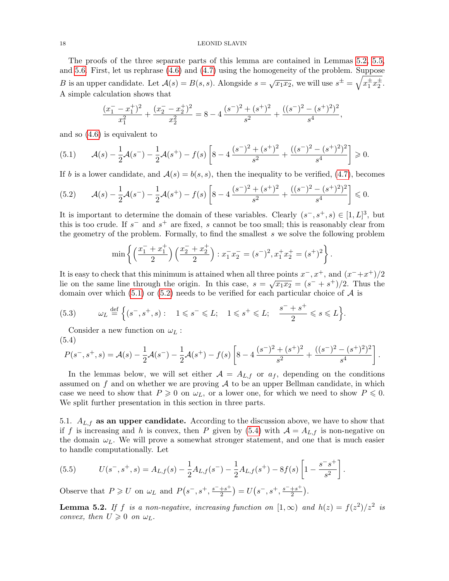#### 18 LEONID SLAVIN

The proofs of the three separate parts of this lemma are contained in Lemmas [5.2,](#page-17-0) [5.5,](#page-20-0) and [5.6.](#page-20-1) First, let us rephrase [\(4.6\)](#page-14-0) and [\(4.7\)](#page-14-2) using the homogeneity of the problem. Suppose B is an upper candidate. Let  $A(s) = B(s, s)$ . Alongside  $s = \sqrt{x_1 x_2}$ , we will use  $s^{\pm} = \sqrt{x_1^{\pm} x_2^{\pm}}$ . A simple calculation shows that

$$
\frac{(x_1^- - x_1^+)^2}{x_1^2} + \frac{(x_2^- - x_2^+)^2}{x_2^2} = 8 - 4\frac{(s^-)^2 + (s^+)^2}{s^2} + \frac{((s^-)^2 - (s^+)^2)^2}{s^4},
$$

and so [\(4.6\)](#page-14-0) is equivalent to

<span id="page-17-1"></span>
$$
(5.1) \qquad \mathcal{A}(s) - \frac{1}{2}\mathcal{A}(s^-) - \frac{1}{2}\mathcal{A}(s^+) - f(s)\left[8 - 4\frac{(s^-)^2 + (s^+)^2}{s^2} + \frac{((s^-)^2 - (s^+)^2)^2}{s^4}\right] \geq 0.
$$

If b is a lower candidate, and  $A(s) = b(s, s)$ , then the inequality to be verified, [\(4.7\)](#page-14-2), becomes

<span id="page-17-2"></span>
$$
(5.2) \qquad \mathcal{A}(s) - \frac{1}{2}\mathcal{A}(s^-) - \frac{1}{2}\mathcal{A}(s^+) - f(s)\left[8 - 4\frac{(s^-)^2 + (s^+)^2}{s^2} + \frac{((s^-)^2 - (s^+)^2)^2}{s^4}\right] \leq 0.
$$

It is important to determine the domain of these variables. Clearly  $(s^-, s^+, s) \in [1, L]^3$ , but this is too crude. If  $s^-$  and  $s^+$  are fixed, s cannot be too small; this is reasonably clear from the geometry of the problem. Formally, to find the smallest s we solve the following problem

$$
\min\left\{ \left( \frac{x_1^- + x_1^+}{2} \right) \left( \frac{x_2^- + x_2^+}{2} \right) : x_1^- x_2^- = (s^-)^2, x_1^+ x_2^+ = (s^+)^2 \right\}.
$$

It is easy to check that this minimum is attained when all three points  $x^-, x^+$ , and  $(x^-+x^+)/2$ Let us easy to check that this imminium is attained when an time points x, x, and  $(x + x^2)/2$ <br>lie on the same line through the origin. In this case,  $s = \sqrt{x_1 x_2} = (s^2 + s^2)/2$ . Thus the domain over which [\(5.1\)](#page-17-1) or [\(5.2\)](#page-17-2) needs to be verified for each particular choice of  $A$  is

(5.3) 
$$
\omega_L \stackrel{\text{def}}{=} \left\{ (s^-, s^+, s) : 1 \leqslant s^- \leqslant L; 1 \leqslant s^+ \leqslant L; \frac{s^- + s^+}{2} \leqslant s \leqslant L \right\}.
$$

Consider a new function on  $\omega_L$ :  $(5.4)$ 

<span id="page-17-3"></span>
$$
P(s^-,s^+,s) = \mathcal{A}(s) - \frac{1}{2}\mathcal{A}(s^-) - \frac{1}{2}\mathcal{A}(s^+) - f(s)\left[8 - 4\frac{(s^-)^2 + (s^+)^2}{s^2} + \frac{((s^-)^2 - (s^+)^2)^2}{s^4}\right]
$$

.

.

In the lemmas below, we will set either  $A = A_{L,f}$  or  $a_f$ , depending on the conditions assumed on f and on whether we are proving  $A$  to be an upper Bellman candidate, in which case we need to show that  $P \geq 0$  on  $\omega_L$ , or a lower one, for which we need to show  $P \leq 0$ . We split further presentation in this section in three parts.

5.1.  $A_{L,f}$  as an upper candidate. According to the discussion above, we have to show that if f is increasing and h is convex, then P given by [\(5.4\)](#page-17-3) with  $A = A_{L,f}$  is non-negative on the domain  $\omega_L$ . We will prove a somewhat stronger statement, and one that is much easier to handle computationally. Let

(5.5) 
$$
U(s^-, s^+, s) = A_{L,f}(s) - \frac{1}{2}A_{L,f}(s^-) - \frac{1}{2}A_{L,f}(s^+) - 8f(s)\left[1 - \frac{s^-s^+}{s^2}\right]
$$

Observe that  $P \geqslant U$  on  $\omega_L$  and  $P(s^-, s^+, \frac{s^-+s^+}{2})$  $\frac{+s^+}{2}$ ) =  $U(s^-,s^+, \frac{s^-+s^+}{2})$  $\frac{+s^+}{2}$ .

<span id="page-17-0"></span>**Lemma 5.2.** If f is a non-negative, increasing function on  $[1,\infty)$  and  $h(z) = f(z^2)/z^2$  is convex, then  $U \geq 0$  on  $\omega_L$ .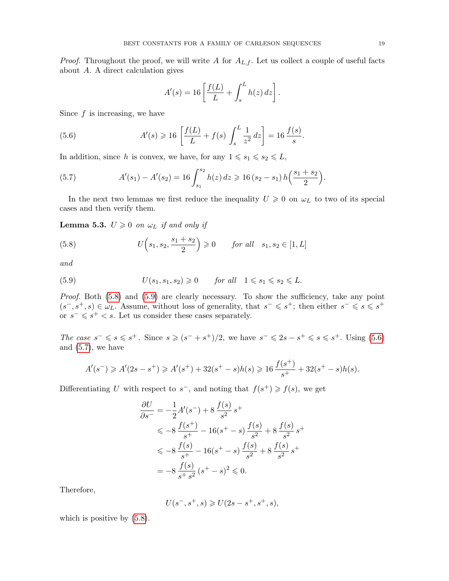*Proof.* Throughout the proof, we will write A for  $A_{L,f}$ . Let us collect a couple of useful facts about A. A direct calculation gives

<span id="page-18-2"></span>
$$
A'(s) = 16 \left[ \frac{f(L)}{L} + \int_s^L h(z) dz \right].
$$

Since  $f$  is increasing, we have

(5.6) 
$$
A'(s) \ge 16 \left[ \frac{f(L)}{L} + f(s) \int_s^L \frac{1}{z^2} dz \right] = 16 \frac{f(s)}{s}.
$$

In addition, since h is convex, we have, for any  $1 \le s_1 \le s_2 \le L$ ,

<span id="page-18-3"></span>(5.7) 
$$
A'(s_1) - A'(s_2) = 16 \int_{s_1}^{s_2} h(z) dz \ge 16 (s_2 - s_1) h\left(\frac{s_1 + s_2}{2}\right).
$$

In the next two lemmas we first reduce the inequality  $U \geq 0$  on  $\omega_L$  to two of its special cases and then verify them.

**Lemma 5.3.**  $U \geq 0$  on  $\omega_L$  if and only if

<span id="page-18-0"></span>(5.8) 
$$
U(s_1, s_2, \frac{s_1 + s_2}{2}) \ge 0
$$
 for all  $s_1, s_2 \in [1, L]$ 

and

<span id="page-18-1"></span>(5.9) 
$$
U(s_1, s_1, s_2) \geq 0 \quad \text{for all} \quad 1 \leq s_1 \leq s_2 \leq L.
$$

Proof. Both  $(5.8)$  and  $(5.9)$  are clearly necessary. To show the sufficiency, take any point  $(s^-, s^+, s) \in \omega_L$ . Assume, without loss of generality, that  $s^- \leqslant s^+$ ; then either  $s^- \leqslant s \leqslant s^+$ or  $s^- \leqslant s^+ < s$ . Let us consider these cases separately.

The case  $s^- \leqslant s \leqslant s^+$ . Since  $s \geqslant (s^- + s^+)/2$ , we have  $s^- \leqslant 2s - s^+ \leqslant s \leqslant s^+$ . Using [\(5.6\)](#page-18-2) and  $(5.7)$ , we have

$$
A'(s^-) \ge A'(2s - s^+) \ge A'(s^+) + 32(s^+ - s)h(s) \ge 16\frac{f(s^+)}{s^+} + 32(s^+ - s)h(s).
$$

Differentiating U with respect to  $s^-$ , and noting that  $f(s^+) \geq f(s)$ , we get

$$
\frac{\partial U}{\partial s^-} = -\frac{1}{2}A'(s^-) + 8\frac{f(s)}{s^2}s^+
$$
\n
$$
\leq -8\frac{f(s^+)}{s^+} - 16(s^+ - s)\frac{f(s)}{s^2} + 8\frac{f(s)}{s^2}s^+
$$
\n
$$
\leq -8\frac{f(s)}{s^+} - 16(s^+ - s)\frac{f(s)}{s^2} + 8\frac{f(s)}{s^2}s^+
$$
\n
$$
= -8\frac{f(s)}{s^+s^2}(s^+ - s)^2 \leq 0.
$$

Therefore,

$$
U(s^-, s^+, s) \ge U(2s - s^+, s^+, s),
$$

which is positive by  $(5.8)$ .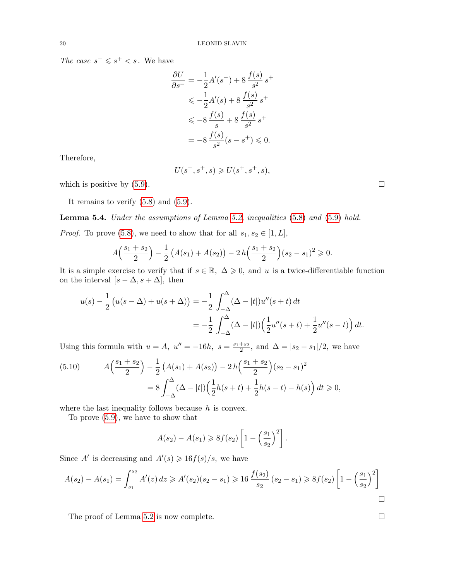The case  $s^- \leqslant s^+ < s$ . We have

$$
\frac{\partial U}{\partial s^-} = -\frac{1}{2}A'(s^-) + 8\frac{f(s)}{s^2}s^+
$$
  

$$
\leq -\frac{1}{2}A'(s) + 8\frac{f(s)}{s^2}s^+
$$
  

$$
\leq -8\frac{f(s)}{s} + 8\frac{f(s)}{s^2}s^+
$$
  

$$
= -8\frac{f(s)}{s^2}(s - s^+) \leq 0.
$$

Therefore,

$$
U(s^-, s^+, s) \ge U(s^+, s^+, s),
$$

which is positive by  $(5.9)$ .

It remains to verify [\(5.8\)](#page-18-0) and [\(5.9\)](#page-18-1).

Lemma 5.4. Under the assumptions of Lemma [5.2,](#page-17-0) inequalities [\(5.8\)](#page-18-0) and [\(5.9\)](#page-18-1) hold.

*Proof.* To prove [\(5.8\)](#page-18-0), we need to show that for all  $s_1, s_2 \in [1, L]$ ,

$$
A\left(\frac{s_1+s_2}{2}\right) - \frac{1}{2}\left(A(s_1) + A(s_2)\right) - 2h\left(\frac{s_1+s_2}{2}\right)(s_2-s_1)^2 \geqslant 0.
$$

It is a simple exercise to verify that if  $s \in \mathbb{R}$ ,  $\Delta \geq 0$ , and u is a twice-differentiable function on the interval  $[s - \Delta, s + \Delta]$ , then

$$
u(s) - \frac{1}{2} (u(s - \Delta) + u(s + \Delta)) = -\frac{1}{2} \int_{-\Delta}^{\Delta} (\Delta - |t|) u''(s + t) dt
$$
  
= 
$$
-\frac{1}{2} \int_{-\Delta}^{\Delta} (\Delta - |t|) (\frac{1}{2} u''(s + t) + \frac{1}{2} u''(s - t)) dt.
$$

Using this formula with  $u = A$ ,  $u'' = -16h$ ,  $s = \frac{s_1 + s_2}{2}$ , and  $\Delta = |s_2 - s_1|/2$ , we have

<span id="page-19-0"></span>
$$
(5.10) \qquad A\left(\frac{s_1+s_2}{2}\right) - \frac{1}{2}\left(A(s_1) + A(s_2)\right) - 2h\left(\frac{s_1+s_2}{2}\right)(s_2 - s_1)^2
$$

$$
= 8\int_{-\Delta}^{\Delta} (\Delta - |t|) \left(\frac{1}{2}h(s+t) + \frac{1}{2}h(s-t) - h(s)\right) dt \ge 0,
$$

where the last inequality follows because  $h$  is convex.

To prove [\(5.9\)](#page-18-1), we have to show that

$$
A(s_2) - A(s_1) \ge 8f(s_2) \left[ 1 - \left(\frac{s_1}{s_2}\right)^2 \right].
$$

Since A' is decreasing and  $A'(s) \geq 16f(s)/s$ , we have

$$
A(s_2) - A(s_1) = \int_{s_1}^{s_2} A'(z) dz \ge A'(s_2)(s_2 - s_1) \ge 16 \frac{f(s_2)}{s_2} (s_2 - s_1) \ge 8f(s_2) \left[ 1 - \left(\frac{s_1}{s_2}\right)^2 \right]
$$

The proof of Lemma [5.2](#page-17-0) is now complete.  $\Box$ 

$$
0 \\
$$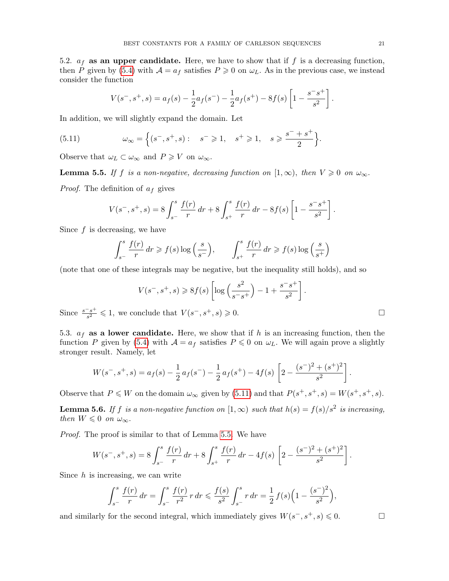5.2.  $a_f$  as an upper candidate. Here, we have to show that if f is a decreasing function, then P given by [\(5.4\)](#page-17-3) with  $A = a_f$  satisfies  $P \ge 0$  on  $\omega_L$ . As in the previous case, we instead consider the function

<span id="page-20-2"></span>
$$
V(s^-,s^+,s) = a_f(s) - \frac{1}{2}a_f(s^-) - \frac{1}{2}a_f(s^+) - 8f(s)\left[1 - \frac{s^-s^+}{s^2}\right].
$$

In addition, we will slightly expand the domain. Let

(5.11) 
$$
\omega_{\infty} = \left\{ (s^-, s^+, s) : s^- \geq 1, s^+ \geq 1, s \geq \frac{s^- + s^+}{2} \right\}.
$$

Observe that  $\omega_L \subset \omega_{\infty}$  and  $P \geqslant V$  on  $\omega_{\infty}$ .

<span id="page-20-0"></span>**Lemma 5.5.** If f is a non-negative, decreasing function on  $[1,\infty)$ , then  $V \ge 0$  on  $\omega_{\infty}$ . *Proof.* The definition of  $a_f$  gives

$$
V(s^-,s^+,s) = 8 \int_{s^-}^s \frac{f(r)}{r} dr + 8 \int_{s^+}^s \frac{f(r)}{r} dr - 8f(s) \left[1 - \frac{s^-s^+}{s^2}\right].
$$

Since  $f$  is decreasing, we have

$$
\int_{s^-}^{s} \frac{f(r)}{r} dr \ge f(s) \log\left(\frac{s}{s^-}\right), \qquad \int_{s^+}^{s} \frac{f(r)}{r} dr \ge f(s) \log\left(\frac{s}{s^+}\right)
$$

(note that one of these integrals may be negative, but the inequality still holds), and so

$$
V(s^-, s^+, s) \ge 8f(s) \left[ \log \left( \frac{s^2}{s^- s^+} \right) - 1 + \frac{s^- s^+}{s^2} \right].
$$

Since  $\frac{s^{-}s^{+}}{s^2}$  $\frac{s^{-s}}{s^2} \leq 1$ , we conclude that  $V(s^-, s^+, s) \geq 0$ .

5.3.  $a_f$  as a lower candidate. Here, we show that if h is an increasing function, then the function P given by [\(5.4\)](#page-17-3) with  $A = a_f$  satisfies  $P \le 0$  on  $\omega_L$ . We will again prove a slightly stronger result. Namely, let

$$
W(s^-,s^+,s) = a_f(s) - \frac{1}{2} a_f(s^-) - \frac{1}{2} a_f(s^+) - 4f(s) \left[ 2 - \frac{(s^-)^2 + (s^+)^2}{s^2} \right].
$$

Observe that  $P \leq W$  on the domain  $\omega_{\infty}$  given by [\(5.11\)](#page-20-2) and that  $P(s^+, s^+, s) = W(s^+, s^+, s)$ .

<span id="page-20-1"></span>**Lemma 5.6.** If f is a non-negative function on  $[1,\infty)$  such that  $h(s) = f(s)/s^2$  is increasing, then  $W \leq 0$  on  $\omega_{\infty}$ .

Proof. The proof is similar to that of Lemma [5.5.](#page-20-0) We have

$$
W(s^-,s^+,s) = 8 \int_{s^-}^s \frac{f(r)}{r} dr + 8 \int_{s^+}^s \frac{f(r)}{r} dr - 4 f(s) \left[ 2 - \frac{(s^-)^2 + (s^+)^2}{s^2} \right].
$$

Since  $h$  is increasing, we can write

$$
\int_{s^{-}}^{s} \frac{f(r)}{r} dr = \int_{s^{-}}^{s} \frac{f(r)}{r^{2}} r dr \leq \frac{f(s)}{s^{2}} \int_{s^{-}}^{s} r dr = \frac{1}{2} f(s) \left( 1 - \frac{(s^{-})^{2}}{s^{2}} \right),
$$

and similarly for the second integral, which immediately gives  $W(s^-, s^+, s) \leq 0$ .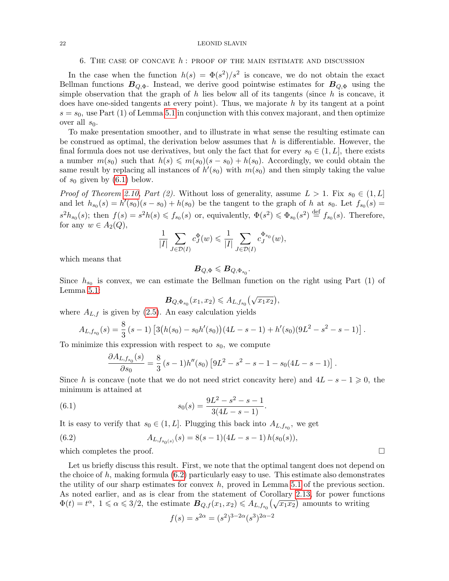## 22 LEONID SLAVIN

#### 6. THE CASE OF CONCAVE  $h$ : PROOF OF THE MAIN ESTIMATE AND DISCUSSION

<span id="page-21-0"></span>In the case when the function  $h(s) = \Phi(s^2)/s^2$  is concave, we do not obtain the exact Bellman functions  $B_{Q,\Phi}$ . Instead, we derive good pointwise estimates for  $B_{Q,\Phi}$  using the simple observation that the graph of  $h$  lies below all of its tangents (since  $h$  is concave, it does have one-sided tangents at every point). Thus, we majorate  $h$  by its tangent at a point  $s = s<sub>0</sub>$ , use Part (1) of Lemma [5.1](#page-16-1) in conjunction with this convex majorant, and then optimize over all  $s_0$ .

To make presentation smoother, and to illustrate in what sense the resulting estimate can be construed as optimal, the derivation below assumes that  $h$  is differentiable. However, the final formula does not use derivatives, but only the fact that for every  $s_0 \in (1, L]$ , there exists a number  $m(s_0)$  such that  $h(s) \leqslant m(s_0)(s - s_0) + h(s_0)$ . Accordingly, we could obtain the same result by replacing all instances of  $h'(s_0)$  with  $m(s_0)$  and then simply taking the value of  $s_0$  given by  $(6.1)$  below.

*Proof of Theorem [2.10,](#page-5-0) Part (2).* Without loss of generality, assume  $L > 1$ . Fix  $s_0 \in (1, L]$ and let  $h_{s_0}(s) = h'(s_0)(s - s_0) + h(s_0)$  be the tangent to the graph of h at  $s_0$ . Let  $f_{s_0}(s) =$  $s^2h_{s_0}(s)$ ; then  $f(s) = s^2h(s) \leq f_{s_0}(s)$  or, equivalently,  $\Phi(s^2) \leq \Phi_{s_0}(s^2) \stackrel{\text{def}}{=} f_{s_0}(s)$ . Therefore, for any  $w \in A_2(Q)$ ,

$$
\frac{1}{|I|} \sum_{J \in \mathcal{D}(I)} c_J^{\Phi}(w) \leq \frac{1}{|I|} \sum_{J \in \mathcal{D}(I)} c_J^{\Phi_{s_0}}(w),
$$

which means that

$$
\bar{B}_{Q,\Phi}\leqslant \bar{B}_{Q,\Phi_{s_0}}.
$$

Since  $h_{s_0}$  is convex, we can estimate the Bellman function on the right using Part (1) of Lemma [5.1:](#page-16-1)

$$
\mathbf{B}_{Q,\Phi_{s_0}}(x_1,x_2)\leqslant A_{L,f_{s_0}}\big(\sqrt{x_1x_2}\big),
$$

where  $A_{L,f}$  is given by [\(2.5\)](#page-5-4). An easy calculation yields

$$
A_{L,f_{s_0}}(s) = \frac{8}{3}(s-1)\left[3(h(s_0) - s_0h'(s_0))(4L - s - 1) + h'(s_0)(9L^2 - s^2 - s - 1)\right].
$$

To minimize this expression with respect to  $s_0$ , we compute

<span id="page-21-2"></span><span id="page-21-1"></span>
$$
\frac{\partial A_{L,f_{s_0}}(s)}{\partial s_0} = \frac{8}{3} (s-1)h''(s_0) \left[ 9L^2 - s^2 - s - 1 - s_0(4L - s - 1) \right]
$$

Since h is concave (note that we do not need strict concavity here) and  $4L - s - 1 \geq 0$ , the minimum is attained at

(6.1) 
$$
s_0(s) = \frac{9L^2 - s^2 - s - 1}{3(4L - s - 1)}.
$$

It is easy to verify that  $s_0 \in (1, L]$ . Plugging this back into  $A_{L, f_{s_0}}$ , we get

(6.2) 
$$
A_{L,f_{s_0(s)}}(s) = 8(s-1)(4L-s-1)h(s_0(s)),
$$

which completes the proof.  $\Box$ 

Let us briefly discuss this result. First, we note that the optimal tangent does not depend on the choice of h, making formula  $(6.2)$  particularly easy to use. This estimate also demonstrates the utility of our sharp estimates for convex  $h$ , proved in Lemma [5.1](#page-16-1) of the previous section. As noted earlier, and as is clear from the statement of Corollary [2.13,](#page-6-0) for power functions As noted earlier, and as is clear from the statement of Coronary 2.15, for power function  $\Phi(t) = t^{\alpha}, 1 \le \alpha \le 3/2$ , the estimate  $B_{Q,f}(x_1, x_2) \le A_{L,f_{s_0}}(\sqrt{x_1 x_2})$  amounts to writing

$$
f(s) = s^{2\alpha} = (s^2)^{3-2\alpha} (s^3)^{2\alpha - 2}
$$

.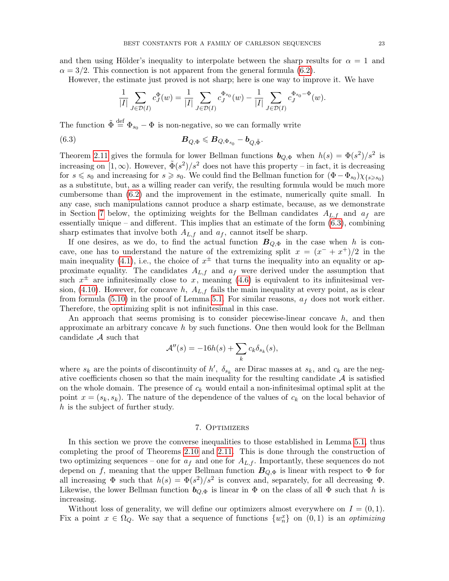and then using Hölder's inequality to interpolate between the sharp results for  $\alpha = 1$  and  $\alpha = 3/2$ . This connection is not apparent from the general formula [\(6.2\)](#page-21-2).

However, the estimate just proved is not sharp; here is one way to improve it. We have

<span id="page-22-1"></span>
$$
\frac{1}{|I|} \sum_{J \in \mathcal{D}(I)} c_J^{\Phi}(w) = \frac{1}{|I|} \sum_{J \in \mathcal{D}(I)} c_J^{\Phi_{s_0}}(w) - \frac{1}{|I|} \sum_{J \in \mathcal{D}(I)} c_J^{\Phi_{s_0} - \Phi}(w).
$$

The function  $\tilde{\Phi} \stackrel{\text{def}}{=} \Phi_{s_0} - \Phi$  is non-negative, so we can formally write

(6.3) 
$$
\mathbf{B}_{Q,\Phi}\leqslant \mathbf{B}_{Q,\Phi_{s_0}}-\mathbf{b}_{Q,\tilde{\Phi}}.
$$

Theorem [2.11](#page-5-1) gives the formula for lower Bellman functions  $\mathbf{b}_{Q,\Phi}$  when  $h(s) = \Phi(s^2)/s^2$  is increasing on  $[1,\infty)$ . However,  $\tilde{\Phi}(s^2)/s^2$  does not have this property – in fact, it is decreasing for  $s \le s_0$  and increasing for  $s \ge s_0$ . We could find the Bellman function for  $(\Phi - \Phi_{s_0}) \chi_{\{s \ge s_0\}}$ as a substitute, but, as a willing reader can verify, the resulting formula would be much more cumbersome than [\(6.2\)](#page-21-2) and the improvement in the estimate, numerically quite small. In any case, such manipulations cannot produce a sharp estimate, because, as we demonstrate in Section [7](#page-22-0) below, the optimizing weights for the Bellman candidates  $A_{L,f}$  and  $a_f$  are essentially unique – and different. This implies that an estimate of the form  $(6.3)$ , combining sharp estimates that involve both  $A_{L,f}$  and  $a_f$ , cannot itself be sharp.

If one desires, as we do, to find the actual function  $B_{Q,\Phi}$  in the case when h is concave, one has to understand the nature of the extremizing split  $x = (x^{-} + x^{+})/2$  in the main inequality [\(4.1\)](#page-13-0), i.e., the choice of  $x^{\pm}$  that turns the inequality into an equality or approximate equality. The candidates  $A_{L,f}$  and  $a_f$  were derived under the assumption that such  $x^{\pm}$  are infinitesimally close to x, meaning [\(4.6\)](#page-14-0) is equivalent to its infinitesimal ver-sion, [\(4.10\)](#page-15-6). However, for concave h,  $A_{L,f}$  fails the main inequality at every point, as is clear from formula [\(5.10\)](#page-19-0) in the proof of Lemma [5.1.](#page-16-1) For similar reasons,  $a_f$  does not work either. Therefore, the optimizing split is not infinitesimal in this case.

An approach that seems promising is to consider piecewise-linear concave  $h$ , and then approximate an arbitrary concave h by such functions. One then would look for the Bellman candidate A such that

$$
\mathcal{A}''(s) = -16h(s) + \sum_{k} c_k \delta_{s_k}(s),
$$

where  $s_k$  are the points of discontinuity of h',  $\delta_{s_k}$  are Dirac masses at  $s_k$ , and  $c_k$  are the negative coefficients chosen so that the main inequality for the resulting candidate  $A$  is satisfied on the whole domain. The presence of  $c_k$  would entail a non-infinitesimal optimal split at the point  $x = (s_k, s_k)$ . The nature of the dependence of the values of  $c_k$  on the local behavior of  $h$  is the subject of further study.

## 7. Optimizers

<span id="page-22-0"></span>In this section we prove the converse inequalities to those established in Lemma [5.1,](#page-16-1) thus completing the proof of Theorems [2.10](#page-5-0) and [2.11.](#page-5-1) This is done through the construction of two optimizing sequences – one for  $a_f$  and one for  $A_{L,f}$ . Importantly, these sequences do not depend on f, meaning that the upper Bellman function  $B_{Q,\Phi}$  is linear with respect to  $\Phi$  for all increasing  $\Phi$  such that  $h(s) = \Phi(s^2)/s^2$  is convex and, separately, for all decreasing  $\Phi$ . Likewise, the lower Bellman function  $b_{Q,\Phi}$  is linear in  $\Phi$  on the class of all  $\Phi$  such that h is increasing.

Without loss of generality, we will define our optimizers almost everywhere on  $I = (0, 1)$ . Fix a point  $x \in \Omega_Q$ . We say that a sequence of functions  $\{w_n^x\}$  on  $(0,1)$  is an *optimizing*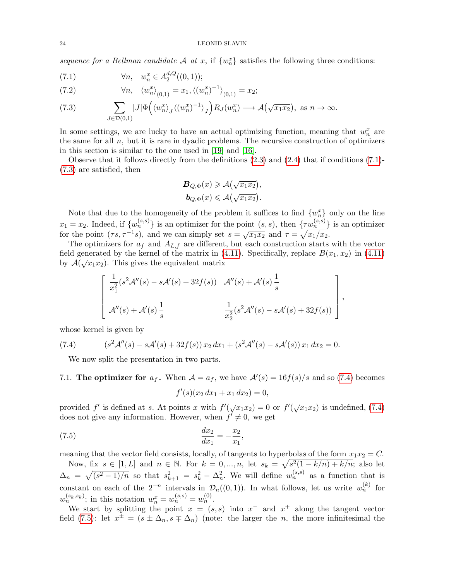sequence for a Bellman candidate A at x, if  $\{w_n^x\}$  satisfies the following three conditions:

<span id="page-23-0"></span>(7.1) 
$$
\forall n, \quad w_n^x \in A_2^{d,Q}((0,1));
$$

<span id="page-23-4"></span>(7.2) 
$$
\forall n, \quad \langle w_n^x \rangle_{(0,1)} = x_1, \langle (w_n^x)^{-1} \rangle_{(0,1)} = x_2;
$$

<span id="page-23-1"></span>(7.3) 
$$
\sum_{J \in \mathcal{D}(0,1)} |J| \Phi\left(\langle w_n^x \rangle_j \langle (w_n^x)^{-1} \rangle_j \right) R_J(w_n^x) \longrightarrow \mathcal{A}(\sqrt{x_1 x_2}), \text{ as } n \to \infty.
$$

In some settings, we are lucky to have an actual optimizing function, meaning that  $w_n^x$  are the same for all  $n$ , but it is rare in dyadic problems. The recursive construction of optimizers in this section is similar to the one used in [\[19\]](#page-28-18) and [\[16\]](#page-28-17).

Observe that it follows directly from the definitions  $(2.3)$  and  $(2.4)$  that if conditions  $(7.1)$ -[\(7.3\)](#page-23-1) are satisfied, then

$$
B_{Q,\Phi}(x) \geqslant \mathcal{A}\left(\sqrt{x_1 x_2}\right),
$$
  

$$
b_{Q,\Phi}(x) \leqslant \mathcal{A}\left(\sqrt{x_1 x_2}\right).
$$

Note that due to the homogeneity of the problem it suffices to find  $\{w_n^x\}$  only on the line  $x_1 = x_2$ . Indeed, if  $\{w_n^{(s,s)}\}$  is an optimizer for the point  $(s, s)$ , then  $\{\tau w_n^{(s,s)}\}$  is an optimizer for the point  $(\tau s, \tau^{-1} s)$ , and we can simply set  $s = \sqrt{x_1 x_2}$  and  $\tau = \sqrt{x_1/x_2}$ .

The optimizers for  $a_f$  and  $A_{L,f}$  are different, but each construction starts with the vector field generated by the kernel of the matrix in [\(4.11\)](#page-15-0). Specifically, replace  $B(x_1, x_2)$  in (4.11) by  $\mathcal{A}(\sqrt{x_1x_2})$ . This gives the equivalent matrix

$$
\begin{bmatrix} \frac{1}{x_1^2} (s^2 \mathcal{A}''(s) - s \mathcal{A}'(s) + 32f(s)) & \mathcal{A}''(s) + \mathcal{A}'(s) \frac{1}{s} \\ \mathcal{A}''(s) + \mathcal{A}'(s) \frac{1}{s} & \frac{1}{x_2^2} (s^2 \mathcal{A}''(s) - s \mathcal{A}'(s) + 32f(s)) \end{bmatrix},
$$

whose kernel is given by

(7.4) 
$$
(s^2 \mathcal{A}''(s) - s \mathcal{A}'(s) + 32f(s)) x_2 dx_1 + (s^2 \mathcal{A}''(s) - s \mathcal{A}'(s)) x_1 dx_2 = 0.
$$

<span id="page-23-2"></span>We now split the presentation in two parts.

7.1. The optimizer for  $a_f$ . When  $\mathcal{A} = a_f$ , we have  $\mathcal{A}'(s) = 16f(s)/s$  and so [\(7.4\)](#page-23-2) becomes

<span id="page-23-3"></span>
$$
f'(s)(x_2 dx_1 + x_1 dx_2) = 0,
$$

provided f' is defined at s. At points x with  $f'(\sqrt{x_1x_2})=0$  or  $f'(\sqrt{x_1x_2})$  is undefined, [\(7.4\)](#page-23-2) does not give any information. However, when  $f' \neq 0$ , we get

(7.5) 
$$
\frac{dx_2}{dx_1} = -\frac{x_2}{x_1},
$$

meaning that the vector field consists, locally, of tangents to hyperbolas of the form  $x_1x_2 = C$ . Now, fix  $s \in [1, L]$  and  $n \in \mathbb{N}$ . For  $k = 0, ..., n$ , let  $s_k = \sqrt{s^2(1 - k/n) + k/n}$ ; also let  $\Delta_n = \sqrt{(s^2 - 1)/n}$  so that  $s_{k+1}^2 = s_k^2 - \Delta_n^2$ . We will define  $w_n^{(s,s)}$  as a function that is constant on each of the  $2^{-n}$  intervals in  $\mathcal{D}_n((0,1))$ . In what follows, let us write  $w_n^{(k)}$  for  $w_n^{(s_k, s_k)}$ ; in this notation  $w_n^x = w_n^{(s,s)} = w_n^{(0)}$ .

We start by splitting the point  $x = (s, s)$  into  $x^-$  and  $x^+$  along the tangent vector field [\(7.5\)](#page-23-3): let  $x^{\pm} = (s \pm \Delta_n, s \mp \Delta_n)$  (note: the larger the *n*, the more infinitesimal the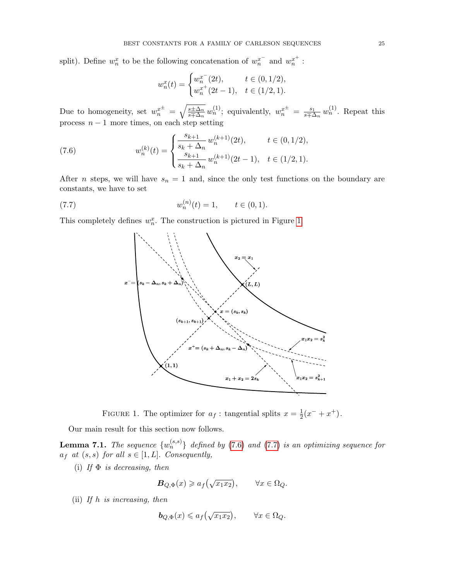split). Define  $w_n^x$  to be the following concatenation of  $w_n^{x^-}$  and  $w_n^{x^+}$ :

<span id="page-24-1"></span>
$$
w_n^x(t) = \begin{cases} w_n^{x^-}(2t), & t \in (0, 1/2), \\ w_n^{x^+}(2t - 1), & t \in (1/2, 1). \end{cases}
$$

Due to homogeneity, set  $w_n^{x^{\pm}} = \sqrt{\frac{s \pm \Delta_n}{s \mp \Delta_n}}$  $\frac{s\pm\Delta_n}{s\mp\Delta_n} w_n^{(1)}$ ; equivalently,  $w_n^{x^{\pm}} = \frac{s_1}{s\mp\Delta_n}$  $\frac{s_1}{s \mp \Delta_n} w_n^{(1)}$ . Repeat this process  $n - 1$  more times, on each step setting

(7.6) 
$$
w_n^{(k)}(t) = \begin{cases} \frac{s_{k+1}}{s_k + \Delta_n} w_n^{(k+1)}(2t), & t \in (0, 1/2), \\ \frac{s_{k+1}}{s_k + \Delta_n} w_n^{(k+1)}(2t-1), & t \in (1/2, 1). \end{cases}
$$

After *n* steps, we will have  $s_n = 1$  and, since the only test functions on the boundary are constants, we have to set

(7.7) 
$$
w_n^{(n)}(t) = 1, \qquad t \in (0,1).
$$

This completely defines  $w_n^x$ . The construction is pictured in Figure [1.](#page-24-3)

<span id="page-24-2"></span>

<span id="page-24-3"></span>FIGURE 1. The optimizer for  $a_f$ : tangential splits  $x = \frac{1}{2}$  $\frac{1}{2}(x^{-}+x^{+}).$ 

Our main result for this section now follows.

<span id="page-24-0"></span>**Lemma 7.1.** The sequence  $\{w_n^{(s,s)}\}$  defined by [\(7.6\)](#page-24-1) and [\(7.7\)](#page-24-2) is an optimizing sequence for  $a_f$  at  $(s, s)$  for all  $s \in [1, L]$ . Consequently,

(i) If  $\Phi$  is decreasing, then

$$
\mathbf{B}_{Q,\Phi}(x) \geq a_f(\sqrt{x_1 x_2}), \qquad \forall x \in \Omega_Q.
$$

(ii) If h is increasing, then

$$
\mathbf{b}_{Q,\Phi}(x) \leq a_f\left(\sqrt{x_1x_2}\right), \qquad \forall x \in \Omega_Q.
$$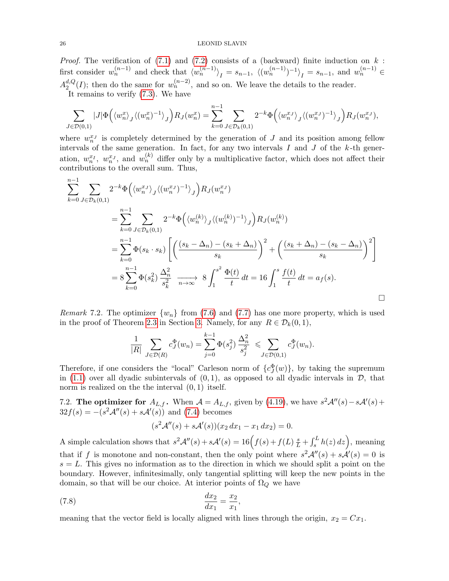## 26 LEONID SLAVIN

*Proof.* The verification of  $(7.1)$  and  $(7.2)$  consists of a (backward) finite induction on k: first consider  $w_n^{(n-1)}$  and check that  $\langle w_n^{(n-1)} \rangle_I = s_{n-1}$ ,  $\langle (w_n^{(n-1)})^{-1} \rangle_I = s_{n-1}$ , and  $w_n^{(n-1)} \in$  $A_2^{d,Q}$  $u_2^{d,Q}(I)$ ; then do the same for  $w_n^{(n-2)}$ , and so on. We leave the details to the reader. It remains to verify  $(7.3)$ . We have

$$
\sum_{J \in \mathcal{D}(0,1)} |J| \Phi\left(\langle w_n^x \rangle_j \langle (w_n^x)^{-1} \rangle_j \right) R_J(w_n^x) = \sum_{k=0}^{n-1} \sum_{J \in \mathcal{D}_k(0,1)} 2^{-k} \Phi\left(\langle w_n^x \rangle_j \langle (w_n^x)^{-1} \rangle_j \right) R_J(w_n^x),
$$

where  $w_n^{x_j}$  is completely determined by the generation of J and its position among fellow intervals of the same generation. In fact, for any two intervals  $I$  and  $J$  of the  $k$ -th generation,  $w_n^{x_I}$ ,  $w_n^{x_J}$ , and  $w_n^{(k)}$  differ only by a multiplicative factor, which does not affect their contributions to the overall sum. Thus,

$$
\sum_{k=0}^{n-1} \sum_{J \in \mathcal{D}_k(0,1)} 2^{-k} \Phi\left(\langle w_n^{x_J} \rangle_j \langle (w_n^{x_J})^{-1} \rangle_j \right) R_J(w_n^{x_J})
$$
\n
$$
= \sum_{k=0}^{n-1} \sum_{J \in \mathcal{D}_k(0,1)} 2^{-k} \Phi\left(\langle w_n^{(k)} \rangle_j \langle (w_n^{(k)})^{-1} \rangle_j \right) R_J(w_n^{(k)})
$$
\n
$$
= \sum_{k=0}^{n-1} \Phi(s_k \cdot s_k) \left[ \left( \frac{(s_k - \Delta_n) - (s_k + \Delta_n)}{s_k} \right)^2 + \left( \frac{(s_k + \Delta_n) - (s_k - \Delta_n)}{s_k} \right)^2 \right]
$$
\n
$$
= 8 \sum_{k=0}^{n-1} \Phi(s_k^2) \frac{\Delta_n^2}{s_k^2} \xrightarrow[n \to \infty]{} 8 \int_1^{s^2} \frac{\Phi(t)}{t} dt = 16 \int_1^s \frac{f(t)}{t} dt = a_f(s).
$$

<span id="page-25-0"></span>*Remark* 7.2. The optimizer  $\{w_n\}$  from [\(7.6\)](#page-24-1) and [\(7.7\)](#page-24-2) has one more property, which is used in the proof of Theorem [2.3](#page-3-0) in Section [3.](#page-8-0) Namely, for any  $R \in \mathcal{D}_k(0,1)$ ,

$$
\frac{1}{|R|} \sum_{J \in \mathcal{D}(R)} c_J^{\Phi}(w_n) = \sum_{j=0}^{k-1} \Phi(s_j^2) \frac{\Delta_n^2}{s_j^2} \leqslant \sum_{J \in \mathcal{D}(0,1)} c_J^{\Phi}(w_n).
$$

Therefore, if one considers the "local" Carleson norm of  $\{c_J^{\Phi}(w)\}$ , by taking the supremum in [\(1.1\)](#page-0-0) over all dyadic subintervals of  $(0, 1)$ , as opposed to all dyadic intervals in  $\mathcal{D}$ , that norm is realized on the the interval  $(0, 1)$  itself.

7.2. The optimizer for  $A_{L,f}$ . When  $A = A_{L,f}$ , given by [\(4.19\)](#page-16-2), we have  $s^2 A''(s) - s A'(s) +$  $32f(s) = -(s^2\mathcal{A}''(s) + s\mathcal{A}'(s))$  and [\(7.4\)](#page-23-2) becomes

$$
(s2A''(s) + sA'(s))(x_2 dx_1 - x_1 dx_2) = 0.
$$

A simple calculation shows that  $s^2 A''(s) + sA'(s) = 16(f(s) + f(L) \frac{s}{L} + \int_s^L h(z) dz)$ , meaning that if f is monotone and non-constant, then the only point where  $s^2 A''(s) + sA'(s) = 0$  is  $s = L$ . This gives no information as to the direction in which we should split a point on the boundary. However, infinitesimally, only tangential splitting will keep the new points in the domain, so that will be our choice. At interior points of  $\Omega_Q$  we have

(7.8) 
$$
\frac{dx_2}{dx_1} = \frac{x_2}{x_1},
$$

meaning that the vector field is locally aligned with lines through the origin,  $x_2 = Cx_1$ .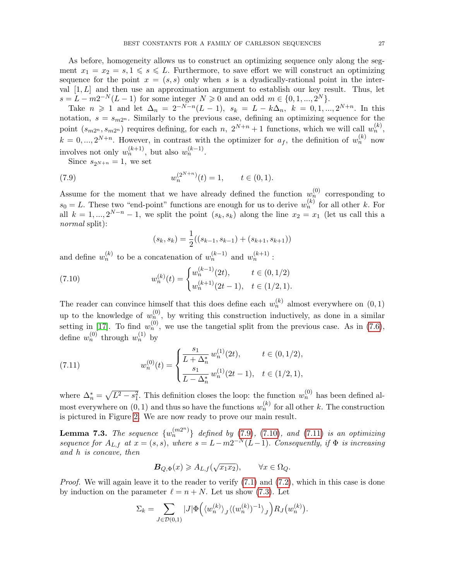As before, homogeneity allows us to construct an optimizing sequence only along the segment  $x_1 = x_2 = s, 1 \le s \le L$ . Furthermore, to save effort we will construct an optimizing sequence for the point  $x = (s, s)$  only when s is a dyadically-rational point in the interval  $[1, L]$  and then use an approximation argument to establish our key result. Thus, let  $s = L - m2^{-N}(L-1)$  for some integer  $N \geq 0$  and an odd  $m \in \{0, 1, ..., 2^N\}.$ 

Take  $n \geq 1$  and let  $\Delta_n = 2^{-N-n}(L-1)$ ,  $s_k = L - k\Delta_n$ ,  $k = 0, 1, ..., 2^{N+n}$ . In this notation,  $s = s_{m2^n}$ . Similarly to the previous case, defining an optimizing sequence for the point  $(s_{m2^n}, s_{m2^n})$  requires defining, for each n,  $2^{N+n}+1$  functions, which we will call  $w_n^{(k)}$ ,  $k = 0, ..., 2^{N+n}$ . However, in contrast with the optimizer for  $a_f$ , the definition of  $w_n^{(k)}$  now involves not only  $w_n^{(k+1)}$ , but also  $w_n^{(k-1)}$ .

Since  $s_{2^{N+n}} = 1$ , we set

(7.9) 
$$
w_n^{(2^{N+n})}(t) = 1, \qquad t \in (0,1).
$$

Assume for the moment that we have already defined the function  $w_n^{(0)}$  corresponding to  $s_0 = L$ . These two "end-point" functions are enough for us to derive  $w_n^{(k)}$  for all other k. For all  $k = 1, ..., 2^{N-n} - 1$ , we split the point  $(s_k, s_k)$  along the line  $x_2 = x_1$  (let us call this a normal split):

<span id="page-26-1"></span><span id="page-26-0"></span>
$$
(s_k, s_k) = \frac{1}{2}((s_{k-1}, s_{k-1}) + (s_{k+1}, s_{k+1}))
$$

and define  $w_n^{(k)}$  to be a concatenation of  $w_n^{(k-1)}$  and  $w_n^{(k+1)}$ :

(7.10) 
$$
w_n^{(k)}(t) = \begin{cases} w_n^{(k-1)}(2t), & t \in (0, 1/2) \\ w_n^{(k+1)}(2t-1), & t \in (1/2, 1). \end{cases}
$$

The reader can convince himself that this does define each  $w_n^{(k)}$  almost everywhere on  $(0, 1)$ up to the knowledge of  $w_n^{(0)}$ , by writing this construction inductively, as done in a similar setting in [\[17\]](#page-28-4). To find  $w_n^{(0)}$ , we use the tangetial split from the previous case. As in [\(7.6\)](#page-24-1), define  $w_n^{(0)}$  through  $w_n^{(1)}$  by

<span id="page-26-2"></span>(7.11) 
$$
w_n^{(0)}(t) = \begin{cases} \frac{s_1}{L + \Delta_n^*} w_n^{(1)}(2t), & t \in (0, 1/2), \\ \frac{s_1}{L - \Delta_n^*} w_n^{(1)}(2t - 1), & t \in (1/2, 1), \end{cases}
$$

where  $\Delta_n^* = \sqrt{L^2 - s_1^2}$ . This definition closes the loop: the function  $w_n^{(0)}$  has been defined almost everywhere on  $(0, 1)$  and thus so have the functions  $w_n^{(k)}$  for all other k. The construction is pictured in Figure [2.](#page-27-0) We are now ready to prove our main result.

**Lemma 7.3.** The sequence  $\{w_n^{(m2^n)}\}\$  defined by [\(7.9\)](#page-26-0), [\(7.10\)](#page-26-1), and [\(7.11\)](#page-26-2) is an optimizing sequence for  $A_{L,f}$  at  $x = (s, s)$ , where  $s = L - m2^{-N}(L-1)$ . Consequently, if  $\Phi$  is increasing and h is concave, then

$$
\mathbf{B}_{Q,\Phi}(x) \geqslant A_{L,f}(\sqrt{x_1 x_2}), \qquad \forall x \in \Omega_Q.
$$

*Proof.* We will again leave it to the reader to verify  $(7.1)$  and  $(7.2)$ , which in this case is done by induction on the parameter  $\ell = n + N$ . Let us show [\(7.3\)](#page-23-1). Let

$$
\Sigma_k = \sum_{J \in \mathcal{D}(0,1)} |J| \Phi\left(\langle w_n^{(k)} \rangle_J \langle (w_n^{(k)})^{-1} \rangle_J \right) R_J \left( w_n^{(k)} \right).
$$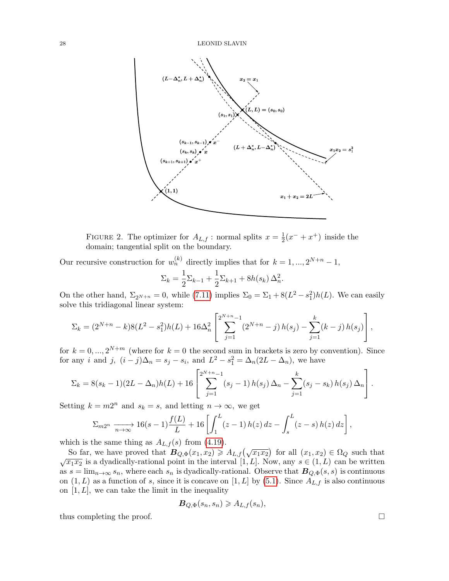

<span id="page-27-0"></span>FIGURE 2. The optimizer for  $A_{L,f}$ : normal splits  $x=\frac{1}{2}$  $\frac{1}{2}(x^{-}+x^{+})$  inside the domain; tangential split on the boundary.

Our recursive construction for  $w_n^{(k)}$  directly implies that for  $k = 1, ..., 2^{N+n} - 1$ ,

$$
\Sigma_k = \frac{1}{2} \Sigma_{k-1} + \frac{1}{2} \Sigma_{k+1} + 8h(s_k) \Delta_n^2.
$$

On the other hand,  $\Sigma_{2^{N+n}} = 0$ , while [\(7.11\)](#page-26-2) implies  $\Sigma_0 = \Sigma_1 + 8(L^2 - s_1^2)h(L)$ . We can easily solve this tridiagonal linear system:

$$
\Sigma_k = (2^{N+n} - k)8(L^2 - s_1^2)h(L) + 16\Delta_n^2 \left[ \sum_{j=1}^{2^{N+n}-1} (2^{N+n} - j) h(s_j) - \sum_{j=1}^k (k-j) h(s_j) \right],
$$

for  $k = 0, ..., 2^{N+m}$  (where for  $k = 0$  the second sum in brackets is zero by convention). Since for any *i* and *j*,  $(i - j)\Delta_n = s_j - s_i$ , and  $L^2 - s_1^2 = \Delta_n(2L - \Delta_n)$ , we have

$$
\Sigma_k = 8(s_k - 1)(2L - \Delta_n)h(L) + 16\left[\sum_{j=1}^{2^{N+n}-1} (s_j - 1)h(s_j)\Delta_n - \sum_{j=1}^k (s_j - s_k)h(s_j)\Delta_n\right].
$$

Setting  $k = m2^n$  and  $s_k = s$ , and letting  $n \to \infty$ , we get

$$
\Sigma_{m2^n} \xrightarrow[n \to \infty]{} 16(s-1)\frac{f(L)}{L} + 16\left[\int_1^L (z-1)h(z)\,dz - \int_s^L (z-s)h(z)\,dz\right],
$$

which is the same thing as  $A_{L,f}(s)$  from [\(4.19\)](#page-16-2).

So far, we have proved that  $B_{Q,\Phi}(x_1,x_2) \geq A_{L,f}(\sqrt{x_1x_2})$  for all  $(x_1,x_2) \in \Omega_Q$  such that  $\sqrt{x_1x_2}$  is a dyadically-rational point in the interval [1, L]. Now, any  $s \in (1, L)$  can be written as  $s = \lim_{n \to \infty} s_n$ , where each  $s_n$  is dyadically-rational. Observe that  $B_{Q,\Phi}(s, s)$  is continuous on  $(1, L)$  as a function of s, since it is concave on  $[1, L]$  by  $(5.1)$ . Since  $A_{L,f}$  is also continuous on  $[1, L]$ , we can take the limit in the inequality

$$
\mathbf{B}_{Q,\Phi}(s_n,s_n) \geq A_{L,f}(s_n),
$$

thus completing the proof.  $\Box$